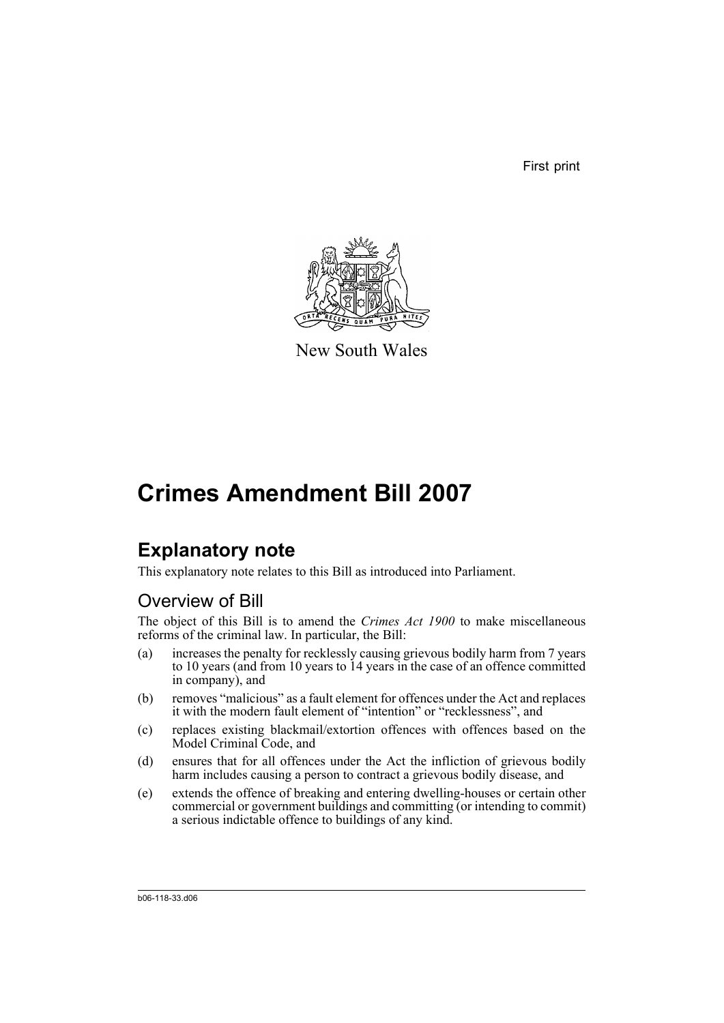First print



New South Wales

# **Crimes Amendment Bill 2007**

## **Explanatory note**

This explanatory note relates to this Bill as introduced into Parliament.

## Overview of Bill

The object of this Bill is to amend the *Crimes Act 1900* to make miscellaneous reforms of the criminal law. In particular, the Bill:

- (a) increases the penalty for recklessly causing grievous bodily harm from 7 years to 10 years (and from 10 years to 14 years in the case of an offence committed in company), and
- (b) removes "malicious" as a fault element for offences under the Act and replaces it with the modern fault element of "intention" or "recklessness", and
- (c) replaces existing blackmail/extortion offences with offences based on the Model Criminal Code, and
- (d) ensures that for all offences under the Act the infliction of grievous bodily harm includes causing a person to contract a grievous bodily disease, and
- (e) extends the offence of breaking and entering dwelling-houses or certain other commercial or government buildings and committing (or intending to commit) a serious indictable offence to buildings of any kind.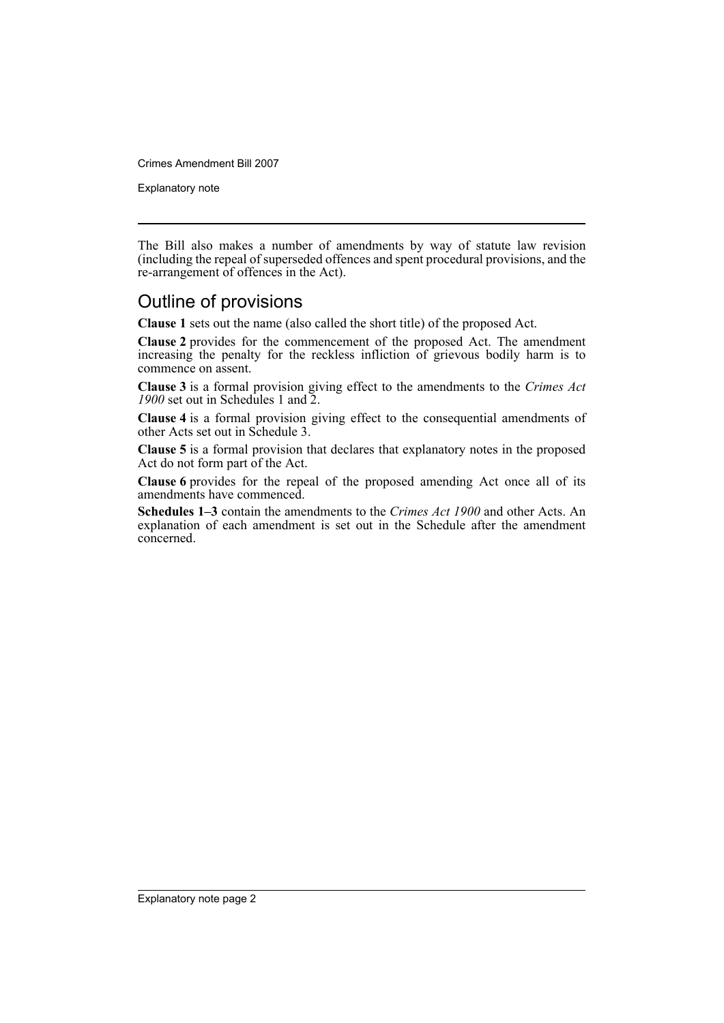Explanatory note

The Bill also makes a number of amendments by way of statute law revision (including the repeal of superseded offences and spent procedural provisions, and the re-arrangement of offences in the Act).

## Outline of provisions

**Clause 1** sets out the name (also called the short title) of the proposed Act.

**Clause 2** provides for the commencement of the proposed Act. The amendment increasing the penalty for the reckless infliction of grievous bodily harm is to commence on assent.

**Clause 3** is a formal provision giving effect to the amendments to the *Crimes Act 1900* set out in Schedules 1 and 2.

**Clause 4** is a formal provision giving effect to the consequential amendments of other Acts set out in Schedule 3.

**Clause 5** is a formal provision that declares that explanatory notes in the proposed Act do not form part of the Act.

**Clause 6** provides for the repeal of the proposed amending Act once all of its amendments have commenced.

**Schedules 1–3** contain the amendments to the *Crimes Act 1900* and other Acts. An explanation of each amendment is set out in the Schedule after the amendment concerned.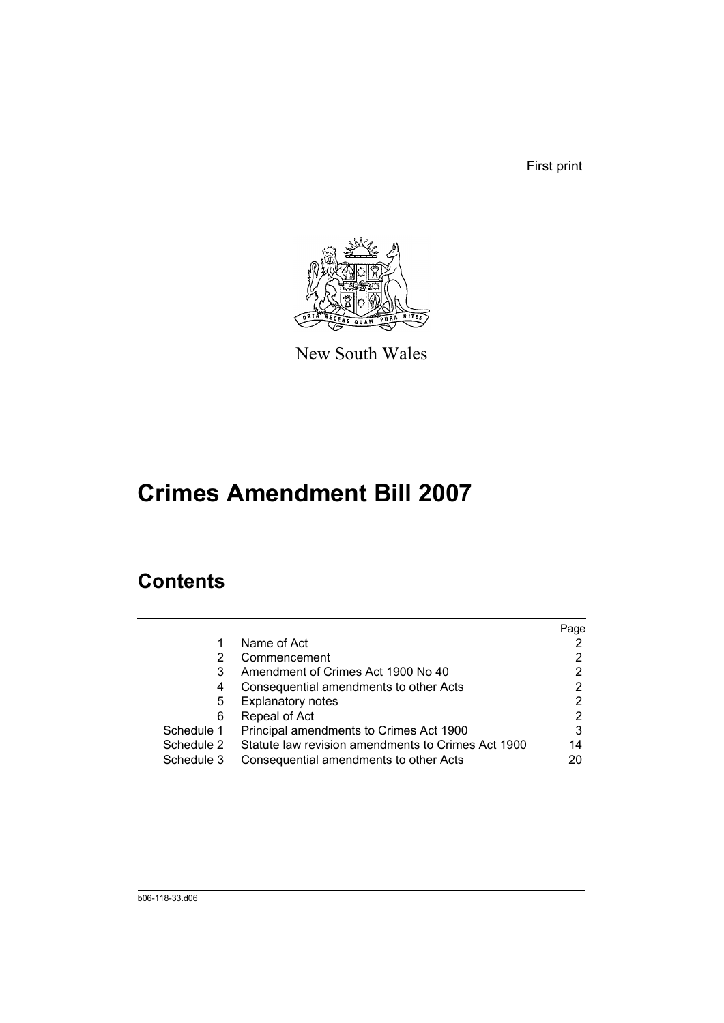First print



New South Wales

# **Crimes Amendment Bill 2007**

## **Contents**

|            |                                                    | Page |
|------------|----------------------------------------------------|------|
|            | Name of Act                                        |      |
|            | Commencement                                       | 2    |
| 3          | Amendment of Crimes Act 1900 No 40                 | 2    |
| 4          | Consequential amendments to other Acts             | 2    |
| 5          | <b>Explanatory notes</b>                           | 2    |
| 6          | Repeal of Act                                      | 2    |
| Schedule 1 | Principal amendments to Crimes Act 1900            | 3    |
| Schedule 2 | Statute law revision amendments to Crimes Act 1900 | 14   |
| Schedule 3 | Consequential amendments to other Acts             | 20   |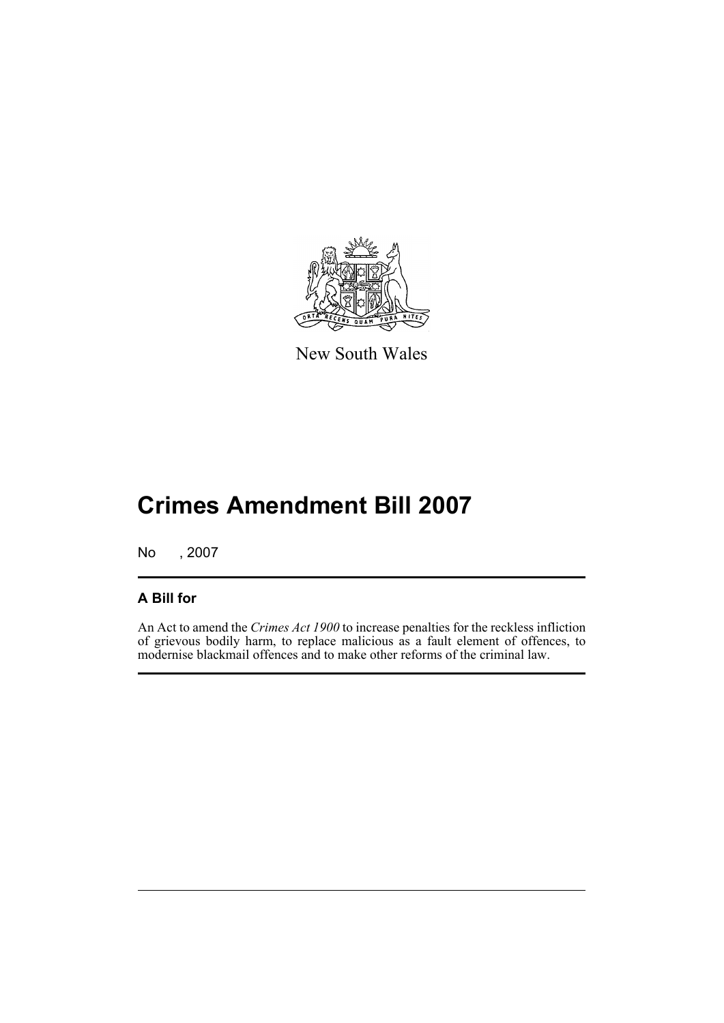

New South Wales

# **Crimes Amendment Bill 2007**

No , 2007

## **A Bill for**

An Act to amend the *Crimes Act 1900* to increase penalties for the reckless infliction of grievous bodily harm, to replace malicious as a fault element of offences, to modernise blackmail offences and to make other reforms of the criminal law.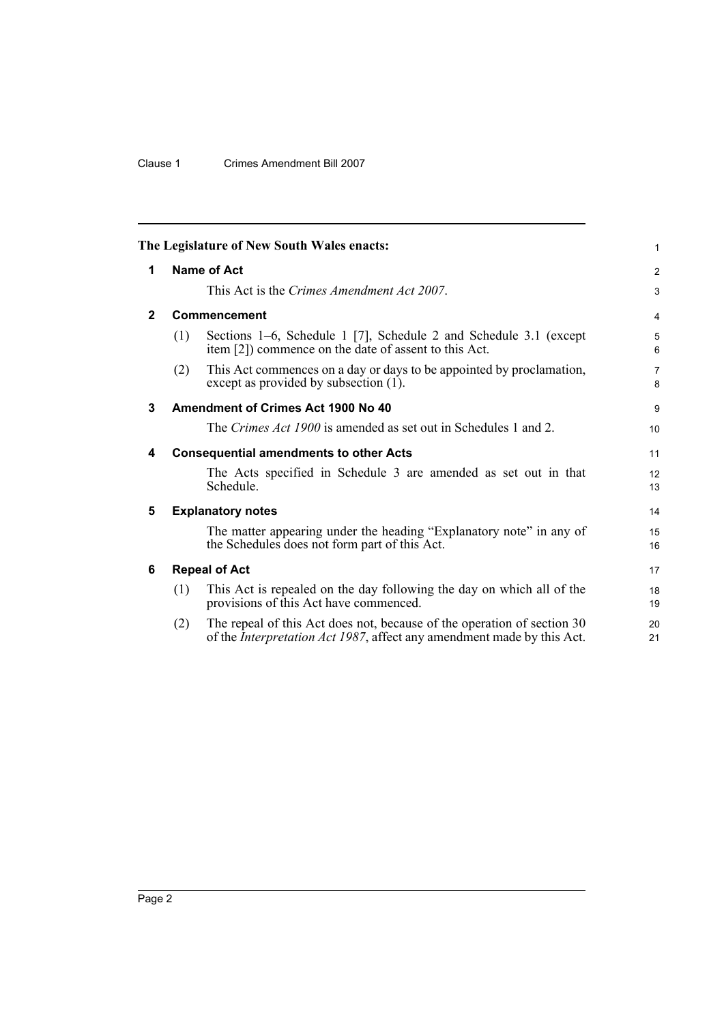## Clause 1 Crimes Amendment Bill 2007

<span id="page-5-5"></span><span id="page-5-4"></span><span id="page-5-3"></span><span id="page-5-2"></span><span id="page-5-1"></span><span id="page-5-0"></span>

|              |     | The Legislature of New South Wales enacts:                                                                                                        | $\mathbf{1}$        |
|--------------|-----|---------------------------------------------------------------------------------------------------------------------------------------------------|---------------------|
| 1            |     | <b>Name of Act</b>                                                                                                                                | $\overline{2}$      |
|              |     | This Act is the Crimes Amendment Act 2007.                                                                                                        | 3                   |
| $\mathbf{2}$ |     | Commencement                                                                                                                                      | $\overline{4}$      |
|              | (1) | Sections 1–6, Schedule 1 [7], Schedule 2 and Schedule 3.1 (except<br>item [2]) commence on the date of assent to this Act.                        | 5<br>6              |
|              | (2) | This Act commences on a day or days to be appointed by proclamation,<br>except as provided by subsection (1).                                     | $\overline{7}$<br>8 |
| 3            |     | Amendment of Crimes Act 1900 No 40                                                                                                                | 9                   |
|              |     | The Crimes Act 1900 is amended as set out in Schedules 1 and 2.                                                                                   | 10                  |
| 4            |     | <b>Consequential amendments to other Acts</b>                                                                                                     | 11                  |
|              |     | The Acts specified in Schedule 3 are amended as set out in that<br>Schedule.                                                                      | 12<br>13            |
| 5            |     | <b>Explanatory notes</b>                                                                                                                          | 14                  |
|              |     | The matter appearing under the heading "Explanatory note" in any of<br>the Schedules does not form part of this Act.                              | 15<br>16            |
| 6            |     | <b>Repeal of Act</b>                                                                                                                              | 17                  |
|              | (1) | This Act is repealed on the day following the day on which all of the<br>provisions of this Act have commenced.                                   | 18<br>19            |
|              | (2) | The repeal of this Act does not, because of the operation of section 30<br>of the Interpretation Act 1987, affect any amendment made by this Act. | 20<br>21            |
|              |     |                                                                                                                                                   |                     |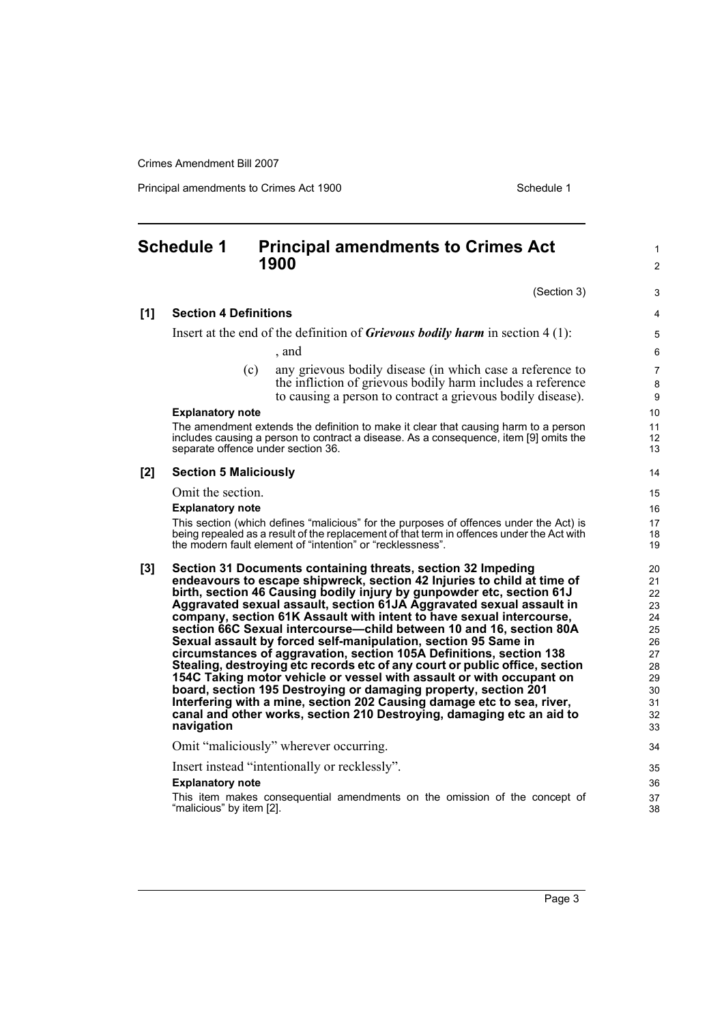Principal amendments to Crimes Act 1900 Schedule 1

#### <span id="page-6-0"></span>**Schedule 1 Principal amendments to Crimes Act 1900** (Section 3) **[1] Section 4 Definitions** Insert at the end of the definition of *Grievous bodily harm* in section 4 (1): , and (c) any grievous bodily disease (in which case a reference to the infliction of grievous bodily harm includes a reference to causing a person to contract a grievous bodily disease). **Explanatory note** The amendment extends the definition to make it clear that causing harm to a person includes causing a person to contract a disease. As a consequence, item [9] omits the separate offence under section 36. **[2] Section 5 Maliciously** Omit the section. **Explanatory note** This section (which defines "malicious" for the purposes of offences under the Act) is being repealed as a result of the replacement of that term in offences under the Act with the modern fault element of "intention" or "recklessness". **[3] Section 31 Documents containing threats, section 32 Impeding endeavours to escape shipwreck, section 42 Injuries to child at time of birth, section 46 Causing bodily injury by gunpowder etc, section 61J Aggravated sexual assault, section 61JA Aggravated sexual assault in company, section 61K Assault with intent to have sexual intercourse, section 66C Sexual intercourse—child between 10 and 16, section 80A Sexual assault by forced self-manipulation, section 95 Same in circumstances of aggravation, section 105A Definitions, section 138 Stealing, destroying etc records etc of any court or public office, section 154C Taking motor vehicle or vessel with assault or with occupant on board, section 195 Destroying or damaging property, section 201 Interfering with a mine, section 202 Causing damage etc to sea, river, canal and other works, section 210 Destroying, damaging etc an aid to navigation** Omit "maliciously" wherever occurring. Insert instead "intentionally or recklessly". **Explanatory note** This item makes consequential amendments on the omission of the concept of "malicious" by item [2]. 1  $\mathfrak{p}$ 3 4 5 6 7 8  $\overline{Q}$ 10 11 12 13 14 15 16 17 18 19 20 21 22 23 24 25 26 27 28 29 30 31 32 33 34 35 36 37 38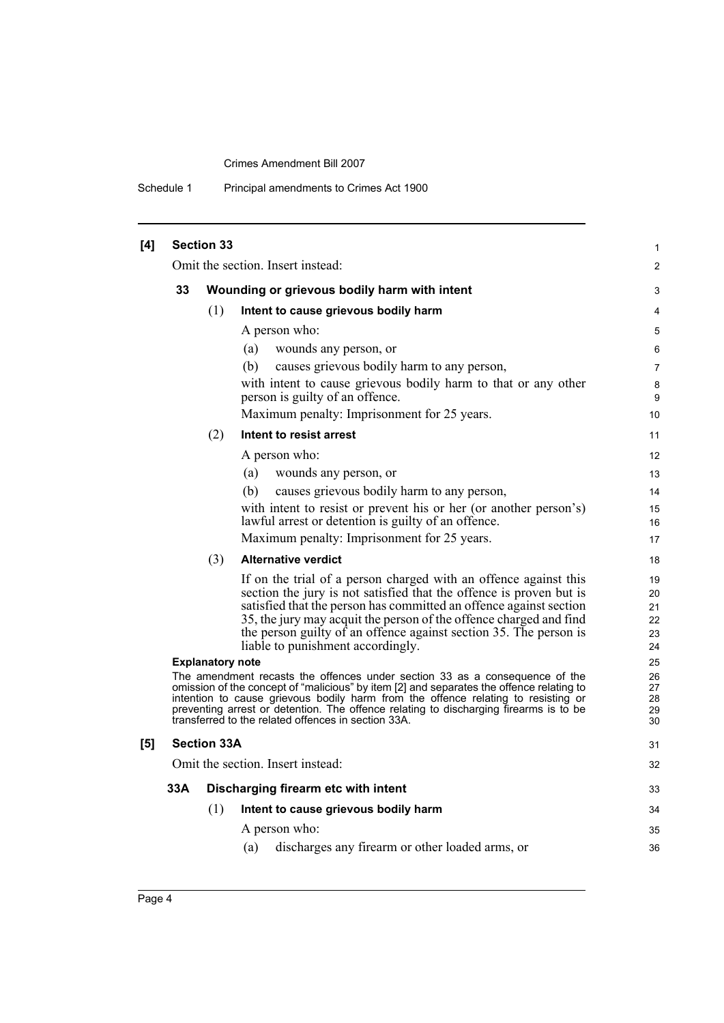| Schedule 1 | Principal amendments to Crimes Act 1900 |
|------------|-----------------------------------------|
|------------|-----------------------------------------|

| [4] |     | <b>Section 33</b>       |                                                                                                                                                                                                                                                                                                                                                                                                              | $\mathbf{1}$                     |
|-----|-----|-------------------------|--------------------------------------------------------------------------------------------------------------------------------------------------------------------------------------------------------------------------------------------------------------------------------------------------------------------------------------------------------------------------------------------------------------|----------------------------------|
|     |     |                         | Omit the section. Insert instead:                                                                                                                                                                                                                                                                                                                                                                            | $\overline{2}$                   |
|     | 33  |                         | Wounding or grievous bodily harm with intent                                                                                                                                                                                                                                                                                                                                                                 | 3                                |
|     |     | (1)                     | Intent to cause grievous bodily harm                                                                                                                                                                                                                                                                                                                                                                         | 4                                |
|     |     |                         | A person who:                                                                                                                                                                                                                                                                                                                                                                                                | 5                                |
|     |     |                         | (a)<br>wounds any person, or                                                                                                                                                                                                                                                                                                                                                                                 | 6                                |
|     |     |                         | causes grievous bodily harm to any person,<br>(b)                                                                                                                                                                                                                                                                                                                                                            | $\overline{7}$                   |
|     |     |                         | with intent to cause grievous bodily harm to that or any other<br>person is guilty of an offence.                                                                                                                                                                                                                                                                                                            | 8<br>9                           |
|     |     |                         | Maximum penalty: Imprisonment for 25 years.                                                                                                                                                                                                                                                                                                                                                                  | 10                               |
|     |     | (2)                     | Intent to resist arrest                                                                                                                                                                                                                                                                                                                                                                                      | 11                               |
|     |     |                         | A person who:                                                                                                                                                                                                                                                                                                                                                                                                | 12                               |
|     |     |                         | (a)<br>wounds any person, or                                                                                                                                                                                                                                                                                                                                                                                 | 13                               |
|     |     |                         | causes grievous bodily harm to any person,<br>(b)                                                                                                                                                                                                                                                                                                                                                            | 14                               |
|     |     |                         | with intent to resist or prevent his or her (or another person's)<br>lawful arrest or detention is guilty of an offence.                                                                                                                                                                                                                                                                                     | 15<br>16                         |
|     |     |                         | Maximum penalty: Imprisonment for 25 years.                                                                                                                                                                                                                                                                                                                                                                  | 17                               |
|     |     | (3)                     | <b>Alternative verdict</b>                                                                                                                                                                                                                                                                                                                                                                                   | 18                               |
|     |     |                         | If on the trial of a person charged with an offence against this<br>section the jury is not satisfied that the offence is proven but is<br>satisfied that the person has committed an offence against section<br>35, the jury may acquit the person of the offence charged and find<br>the person guilty of an offence against section 35. The person is<br>liable to punishment accordingly.                | 19<br>20<br>21<br>22<br>23<br>24 |
|     |     | <b>Explanatory note</b> |                                                                                                                                                                                                                                                                                                                                                                                                              | 25                               |
|     |     |                         | The amendment recasts the offences under section 33 as a consequence of the<br>omission of the concept of "malicious" by item [2] and separates the offence relating to<br>intention to cause grievous bodily harm from the offence relating to resisting or<br>preventing arrest or detention. The offence relating to discharging firearms is to be<br>transferred to the related offences in section 33A. | 26<br>27<br>28<br>29<br>30       |
| [5] |     | <b>Section 33A</b>      |                                                                                                                                                                                                                                                                                                                                                                                                              | 31                               |
|     |     |                         | Omit the section. Insert instead:                                                                                                                                                                                                                                                                                                                                                                            | 32                               |
|     | 33A |                         | Discharging firearm etc with intent                                                                                                                                                                                                                                                                                                                                                                          | 33                               |
|     |     | (1)                     | Intent to cause grievous bodily harm                                                                                                                                                                                                                                                                                                                                                                         | 34                               |
|     |     |                         | A person who:                                                                                                                                                                                                                                                                                                                                                                                                | 35                               |
|     |     |                         | discharges any firearm or other loaded arms, or<br>(a)                                                                                                                                                                                                                                                                                                                                                       | 36                               |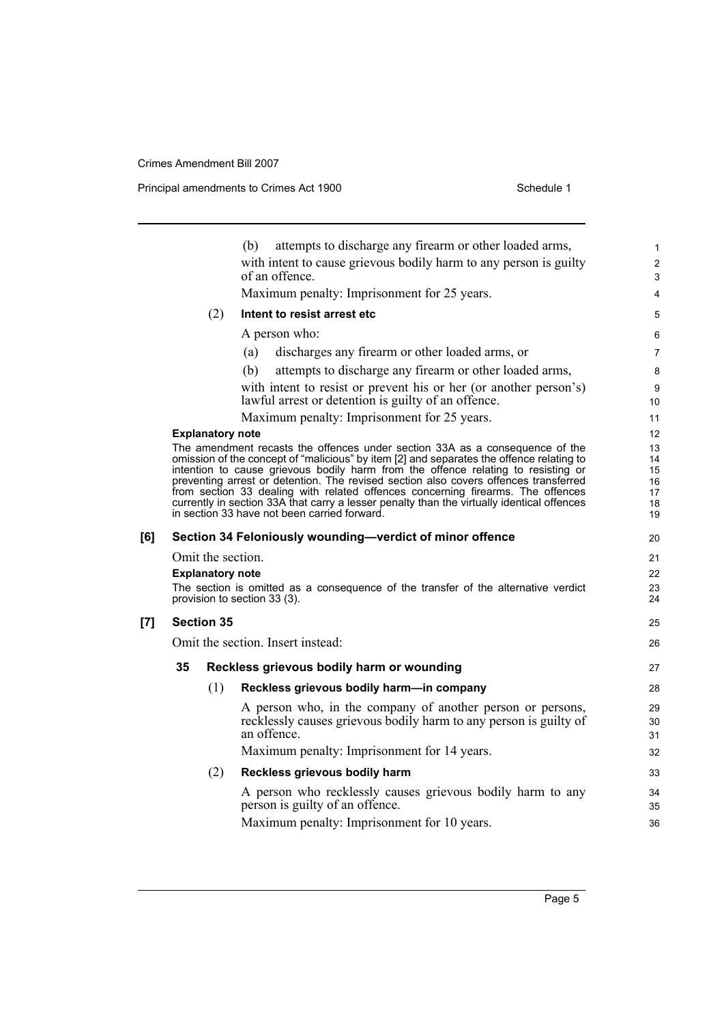**[7] Section 35**

Principal amendments to Crimes Act 1900 Schedule 1

|     |                                   |                                           | attempts to discharge any firearm or other loaded arms,<br>(b)                                                                                                                                                                                                                                                                                                                                                                                                                                                                                                                         | 1                                      |  |
|-----|-----------------------------------|-------------------------------------------|----------------------------------------------------------------------------------------------------------------------------------------------------------------------------------------------------------------------------------------------------------------------------------------------------------------------------------------------------------------------------------------------------------------------------------------------------------------------------------------------------------------------------------------------------------------------------------------|----------------------------------------|--|
|     |                                   |                                           | with intent to cause grievous bodily harm to any person is guilty<br>of an offence.                                                                                                                                                                                                                                                                                                                                                                                                                                                                                                    | $\overline{\mathbf{c}}$<br>3           |  |
|     |                                   |                                           | Maximum penalty: Imprisonment for 25 years.                                                                                                                                                                                                                                                                                                                                                                                                                                                                                                                                            | 4                                      |  |
|     |                                   | (2)                                       | Intent to resist arrest etc                                                                                                                                                                                                                                                                                                                                                                                                                                                                                                                                                            | 5                                      |  |
|     |                                   |                                           | A person who:                                                                                                                                                                                                                                                                                                                                                                                                                                                                                                                                                                          | 6                                      |  |
|     |                                   |                                           | discharges any firearm or other loaded arms, or<br>(a)                                                                                                                                                                                                                                                                                                                                                                                                                                                                                                                                 | 7                                      |  |
|     |                                   |                                           | attempts to discharge any firearm or other loaded arms,<br>(b)                                                                                                                                                                                                                                                                                                                                                                                                                                                                                                                         | 8                                      |  |
|     |                                   |                                           | with intent to resist or prevent his or her (or another person's)<br>lawful arrest or detention is guilty of an offence.                                                                                                                                                                                                                                                                                                                                                                                                                                                               | 9<br>10                                |  |
|     |                                   |                                           | Maximum penalty: Imprisonment for 25 years.                                                                                                                                                                                                                                                                                                                                                                                                                                                                                                                                            | 11                                     |  |
|     |                                   | <b>Explanatory note</b>                   |                                                                                                                                                                                                                                                                                                                                                                                                                                                                                                                                                                                        | 12                                     |  |
|     |                                   |                                           | The amendment recasts the offences under section 33A as a consequence of the<br>omission of the concept of "malicious" by item [2] and separates the offence relating to<br>intention to cause grievous bodily harm from the offence relating to resisting or<br>preventing arrest or detention. The revised section also covers offences transferred<br>from section 33 dealing with related offences concerning firearms. The offences<br>currently in section 33A that carry a lesser penalty than the virtually identical offences<br>in section 33 have not been carried forward. | 13<br>14<br>15<br>16<br>17<br>18<br>19 |  |
| [6] |                                   |                                           | Section 34 Feloniously wounding-verdict of minor offence                                                                                                                                                                                                                                                                                                                                                                                                                                                                                                                               | 20                                     |  |
|     |                                   | Omit the section.                         |                                                                                                                                                                                                                                                                                                                                                                                                                                                                                                                                                                                        | 21                                     |  |
|     |                                   | <b>Explanatory note</b>                   |                                                                                                                                                                                                                                                                                                                                                                                                                                                                                                                                                                                        | 22                                     |  |
|     |                                   |                                           | The section is omitted as a consequence of the transfer of the alternative verdict<br>provision to section 33 (3).                                                                                                                                                                                                                                                                                                                                                                                                                                                                     | 23<br>24                               |  |
| [7] | <b>Section 35</b>                 |                                           |                                                                                                                                                                                                                                                                                                                                                                                                                                                                                                                                                                                        | 25                                     |  |
|     | Omit the section. Insert instead: |                                           |                                                                                                                                                                                                                                                                                                                                                                                                                                                                                                                                                                                        | 26                                     |  |
|     | 35                                | Reckless grievous bodily harm or wounding |                                                                                                                                                                                                                                                                                                                                                                                                                                                                                                                                                                                        |                                        |  |
|     |                                   | (1)                                       | Reckless grievous bodily harm-in company                                                                                                                                                                                                                                                                                                                                                                                                                                                                                                                                               | 28                                     |  |
|     |                                   |                                           | A person who, in the company of another person or persons,<br>recklessly causes grievous bodily harm to any person is guilty of<br>an offence.                                                                                                                                                                                                                                                                                                                                                                                                                                         | 29<br>30<br>31                         |  |
|     |                                   |                                           | Maximum penalty: Imprisonment for 14 years.                                                                                                                                                                                                                                                                                                                                                                                                                                                                                                                                            | 32                                     |  |
|     |                                   | (2)                                       | Reckless grievous bodily harm                                                                                                                                                                                                                                                                                                                                                                                                                                                                                                                                                          | 33                                     |  |
|     |                                   |                                           | A person who recklessly causes grievous bodily harm to any<br>person is guilty of an offence.                                                                                                                                                                                                                                                                                                                                                                                                                                                                                          | 34<br>35                               |  |
|     |                                   |                                           | Maximum penalty: Imprisonment for 10 years.                                                                                                                                                                                                                                                                                                                                                                                                                                                                                                                                            | 36                                     |  |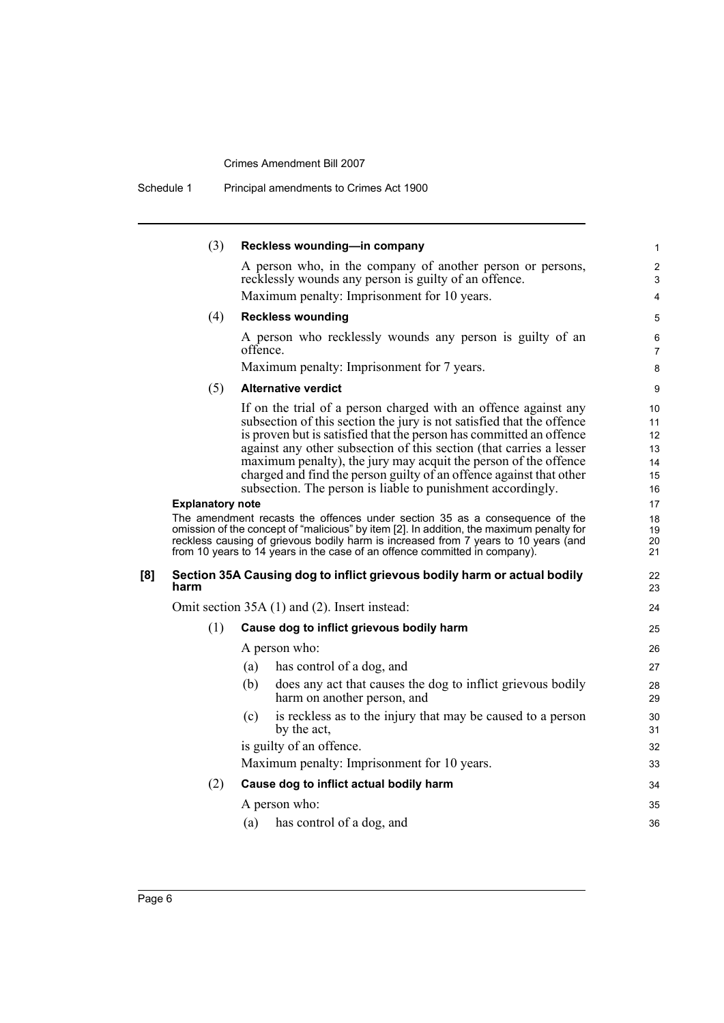Schedule 1 Principal amendments to Crimes Act 1900

|     | (3)                     | Reckless wounding-in company                                                                                                                                                                                                                                                                                                                                                                                                                                                                    | 1                                      |
|-----|-------------------------|-------------------------------------------------------------------------------------------------------------------------------------------------------------------------------------------------------------------------------------------------------------------------------------------------------------------------------------------------------------------------------------------------------------------------------------------------------------------------------------------------|----------------------------------------|
|     |                         | A person who, in the company of another person or persons,<br>recklessly wounds any person is guilty of an offence.                                                                                                                                                                                                                                                                                                                                                                             | $\overline{c}$<br>3                    |
|     |                         | Maximum penalty: Imprisonment for 10 years.                                                                                                                                                                                                                                                                                                                                                                                                                                                     | 4                                      |
|     | (4)                     | <b>Reckless wounding</b>                                                                                                                                                                                                                                                                                                                                                                                                                                                                        | 5                                      |
|     |                         | A person who recklessly wounds any person is guilty of an<br>offence.                                                                                                                                                                                                                                                                                                                                                                                                                           | 6<br>$\overline{7}$                    |
|     |                         | Maximum penalty: Imprisonment for 7 years.                                                                                                                                                                                                                                                                                                                                                                                                                                                      | 8                                      |
|     | (5)                     | <b>Alternative verdict</b>                                                                                                                                                                                                                                                                                                                                                                                                                                                                      | 9                                      |
|     |                         | If on the trial of a person charged with an offence against any<br>subsection of this section the jury is not satisfied that the offence<br>is proven but is satisfied that the person has committed an offence<br>against any other subsection of this section (that carries a lesser<br>maximum penalty), the jury may acquit the person of the offence<br>charged and find the person guilty of an offence against that other<br>subsection. The person is liable to punishment accordingly. | 10<br>11<br>12<br>13<br>14<br>15<br>16 |
|     | <b>Explanatory note</b> |                                                                                                                                                                                                                                                                                                                                                                                                                                                                                                 | 17                                     |
|     |                         | The amendment recasts the offences under section 35 as a consequence of the<br>omission of the concept of "malicious" by item [2]. In addition, the maximum penalty for<br>reckless causing of grievous bodily harm is increased from 7 years to 10 years (and<br>from 10 years to 14 years in the case of an offence committed in company).                                                                                                                                                    | 18<br>19<br>20<br>21                   |
| [8] | harm                    | Section 35A Causing dog to inflict grievous bodily harm or actual bodily                                                                                                                                                                                                                                                                                                                                                                                                                        | 22<br>23                               |
|     |                         | Omit section 35A (1) and (2). Insert instead:                                                                                                                                                                                                                                                                                                                                                                                                                                                   | 24                                     |
|     | (1)                     | Cause dog to inflict grievous bodily harm                                                                                                                                                                                                                                                                                                                                                                                                                                                       | 25                                     |
|     |                         | A person who:                                                                                                                                                                                                                                                                                                                                                                                                                                                                                   | 26                                     |
|     |                         | has control of a dog, and<br>(a)                                                                                                                                                                                                                                                                                                                                                                                                                                                                | 27                                     |
|     |                         | does any act that causes the dog to inflict grievous bodily<br>(b)<br>harm on another person, and                                                                                                                                                                                                                                                                                                                                                                                               | 28<br>29                               |
|     |                         | is reckless as to the injury that may be caused to a person<br>(c)<br>by the act,                                                                                                                                                                                                                                                                                                                                                                                                               | 30<br>31                               |
|     |                         | is guilty of an offence.                                                                                                                                                                                                                                                                                                                                                                                                                                                                        | 32                                     |
|     |                         | Maximum penalty: Imprisonment for 10 years.                                                                                                                                                                                                                                                                                                                                                                                                                                                     | 33                                     |
|     | (2)                     | Cause dog to inflict actual bodily harm                                                                                                                                                                                                                                                                                                                                                                                                                                                         | 34                                     |
|     |                         | A person who:                                                                                                                                                                                                                                                                                                                                                                                                                                                                                   | 35                                     |
|     |                         | has control of a dog, and<br>(a)                                                                                                                                                                                                                                                                                                                                                                                                                                                                | 36                                     |
|     |                         |                                                                                                                                                                                                                                                                                                                                                                                                                                                                                                 |                                        |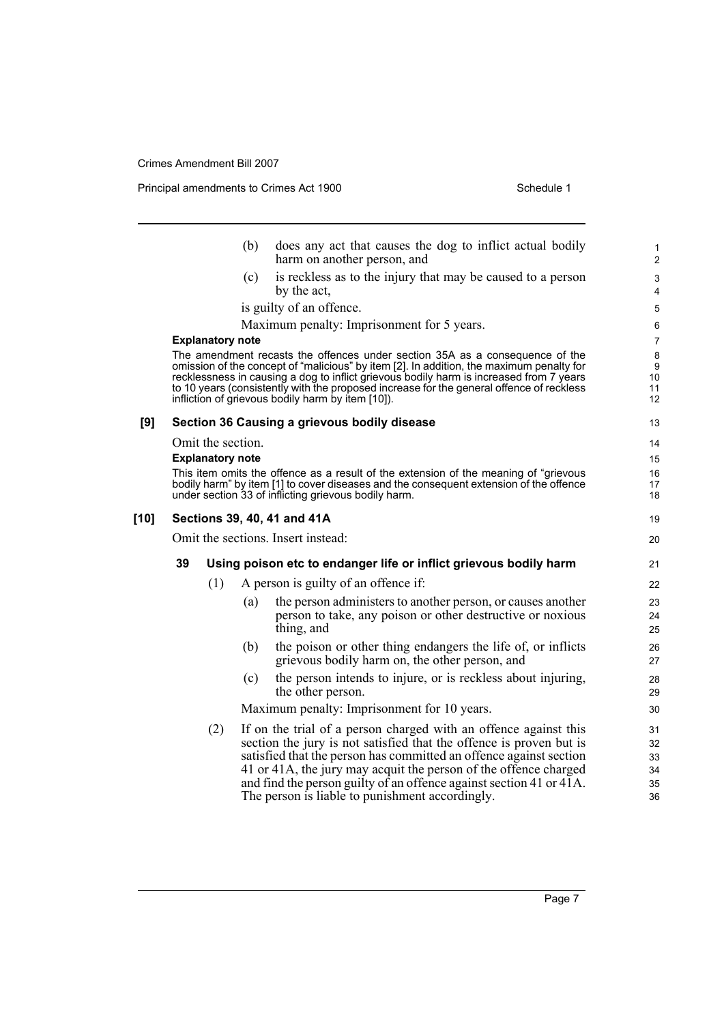Principal amendments to Crimes Act 1900 Schedule 1

|        |    |                                              | (b) | does any act that causes the dog to inflict actual bodily<br>harm on another person, and                                                                                                                                                                                                                                                                                                                             | 1<br>$\overline{c}$                     |
|--------|----|----------------------------------------------|-----|----------------------------------------------------------------------------------------------------------------------------------------------------------------------------------------------------------------------------------------------------------------------------------------------------------------------------------------------------------------------------------------------------------------------|-----------------------------------------|
|        |    |                                              | (c) | is reckless as to the injury that may be caused to a person<br>by the act,                                                                                                                                                                                                                                                                                                                                           | $\mathsf 3$<br>4                        |
|        |    |                                              |     | is guilty of an offence.                                                                                                                                                                                                                                                                                                                                                                                             | 5                                       |
|        |    |                                              |     | Maximum penalty: Imprisonment for 5 years.                                                                                                                                                                                                                                                                                                                                                                           | 6                                       |
|        |    | <b>Explanatory note</b>                      |     |                                                                                                                                                                                                                                                                                                                                                                                                                      | $\overline{7}$                          |
|        |    |                                              |     | The amendment recasts the offences under section 35A as a consequence of the<br>omission of the concept of "malicious" by item [2]. In addition, the maximum penalty for<br>recklessness in causing a dog to inflict grievous bodily harm is increased from 7 years<br>to 10 years (consistently with the proposed increase for the general offence of reckless<br>infliction of grievous bodily harm by item [10]). | 8<br>$\boldsymbol{9}$<br>10<br>11<br>12 |
| [9]    |    |                                              |     | Section 36 Causing a grievous bodily disease                                                                                                                                                                                                                                                                                                                                                                         | 13                                      |
|        |    | Omit the section.<br><b>Explanatory note</b> |     |                                                                                                                                                                                                                                                                                                                                                                                                                      | 14<br>15                                |
|        |    |                                              |     | This item omits the offence as a result of the extension of the meaning of "grievous"<br>bodily harm" by item [1] to cover diseases and the consequent extension of the offence<br>under section 33 of inflicting grievous bodily harm.                                                                                                                                                                              | 16<br>17<br>18                          |
| $[10]$ |    |                                              |     | Sections 39, 40, 41 and 41A                                                                                                                                                                                                                                                                                                                                                                                          | 19                                      |
|        |    |                                              |     | Omit the sections. Insert instead:                                                                                                                                                                                                                                                                                                                                                                                   | 20                                      |
|        | 39 |                                              |     | Using poison etc to endanger life or inflict grievous bodily harm                                                                                                                                                                                                                                                                                                                                                    | 21                                      |
|        |    | (1)                                          |     | A person is guilty of an offence if:                                                                                                                                                                                                                                                                                                                                                                                 | 22                                      |
|        |    |                                              | (a) | the person administers to another person, or causes another<br>person to take, any poison or other destructive or noxious<br>thing, and                                                                                                                                                                                                                                                                              | 23<br>24<br>25                          |
|        |    |                                              | (b) | the poison or other thing endangers the life of, or inflicts<br>grievous bodily harm on, the other person, and                                                                                                                                                                                                                                                                                                       | 26<br>27                                |
|        |    |                                              | (c) | the person intends to injure, or is reckless about injuring,<br>the other person.                                                                                                                                                                                                                                                                                                                                    | 28<br>29                                |
|        |    |                                              |     | Maximum penalty: Imprisonment for 10 years.                                                                                                                                                                                                                                                                                                                                                                          | 30                                      |
|        |    | (2)                                          |     | If on the trial of a person charged with an offence against this<br>section the jury is not satisfied that the offence is proven but is<br>satisfied that the person has committed an offence against section<br>41 or 41A, the jury may acquit the person of the offence charged<br>and find the person guilty of an offence against section 41 or 41A.                                                             | 31<br>32<br>33<br>34<br>35              |

The person is liable to punishment accordingly.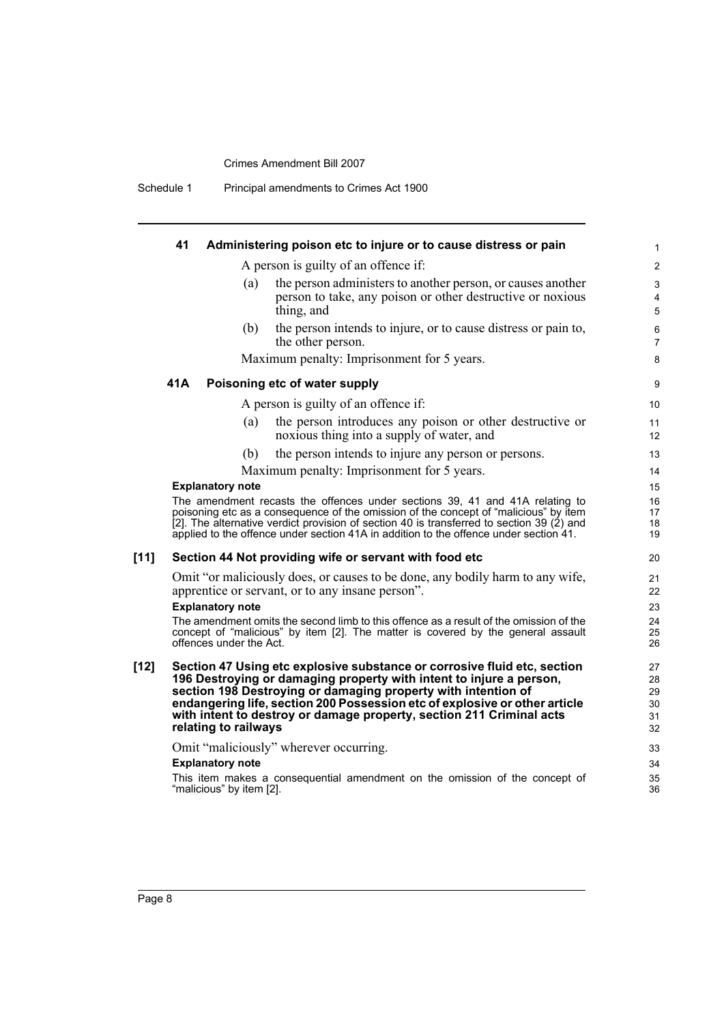| Principal amendments to Crimes Act 1900<br>Schedule 1 |
|-------------------------------------------------------|
|-------------------------------------------------------|

|        | 41  | Administering poison etc to injure or to cause distress or pain                                                                                                                                                                      |                                                                                                                                                                                                                                                                   | 1                                |
|--------|-----|--------------------------------------------------------------------------------------------------------------------------------------------------------------------------------------------------------------------------------------|-------------------------------------------------------------------------------------------------------------------------------------------------------------------------------------------------------------------------------------------------------------------|----------------------------------|
|        |     | A person is guilty of an offence if:                                                                                                                                                                                                 |                                                                                                                                                                                                                                                                   | $\overline{2}$                   |
|        |     | (a)<br>thing, and                                                                                                                                                                                                                    | the person administers to another person, or causes another<br>person to take, any poison or other destructive or noxious                                                                                                                                         | 3<br>4<br>$\sqrt{5}$             |
|        |     | (b)<br>the other person.                                                                                                                                                                                                             | the person intends to injure, or to cause distress or pain to,                                                                                                                                                                                                    | 6<br>$\overline{7}$              |
|        |     | Maximum penalty: Imprisonment for 5 years.                                                                                                                                                                                           |                                                                                                                                                                                                                                                                   | 8                                |
|        | 41A | Poisoning etc of water supply                                                                                                                                                                                                        |                                                                                                                                                                                                                                                                   | $\boldsymbol{9}$                 |
|        |     | A person is guilty of an offence if:                                                                                                                                                                                                 |                                                                                                                                                                                                                                                                   | 10                               |
|        |     | (a)<br>noxious thing into a supply of water, and                                                                                                                                                                                     | the person introduces any poison or other destructive or                                                                                                                                                                                                          | 11<br>12                         |
|        |     | (b)                                                                                                                                                                                                                                  | the person intends to injure any person or persons.                                                                                                                                                                                                               | 13                               |
|        |     | Maximum penalty: Imprisonment for 5 years.                                                                                                                                                                                           |                                                                                                                                                                                                                                                                   | 14                               |
|        |     | <b>Explanatory note</b>                                                                                                                                                                                                              |                                                                                                                                                                                                                                                                   | 15                               |
|        |     | applied to the offence under section 41A in addition to the offence under section 41.                                                                                                                                                | The amendment recasts the offences under sections 39, 41 and 41A relating to<br>poisoning etc as a consequence of the omission of the concept of "malicious" by item<br>[2]. The alternative verdict provision of section 40 is transferred to section 39 (2) and | 16<br>17<br>18<br>19             |
| $[11]$ |     | Section 44 Not providing wife or servant with food etc                                                                                                                                                                               |                                                                                                                                                                                                                                                                   | 20                               |
|        |     | apprentice or servant, or to any insane person".                                                                                                                                                                                     | Omit "or maliciously does, or causes to be done, any bodily harm to any wife,                                                                                                                                                                                     | 21<br>22                         |
|        |     | <b>Explanatory note</b><br>offences under the Act.                                                                                                                                                                                   | The amendment omits the second limb to this offence as a result of the omission of the<br>concept of "malicious" by item [2]. The matter is covered by the general assault                                                                                        | 23<br>24<br>25<br>26             |
| [12]   |     | 196 Destroying or damaging property with intent to injure a person,<br>section 198 Destroying or damaging property with intention of<br>with intent to destroy or damage property, section 211 Criminal acts<br>relating to railways | Section 47 Using etc explosive substance or corrosive fluid etc, section<br>endangering life, section 200 Possession etc of explosive or other article                                                                                                            | 27<br>28<br>29<br>30<br>31<br>32 |
|        |     | Omit "maliciously" wherever occurring.                                                                                                                                                                                               |                                                                                                                                                                                                                                                                   | 33                               |
|        |     | <b>Explanatory note</b>                                                                                                                                                                                                              |                                                                                                                                                                                                                                                                   | 34                               |
|        |     | "malicious" by item [2].                                                                                                                                                                                                             | This item makes a consequential amendment on the omission of the concept of                                                                                                                                                                                       | 35<br>36                         |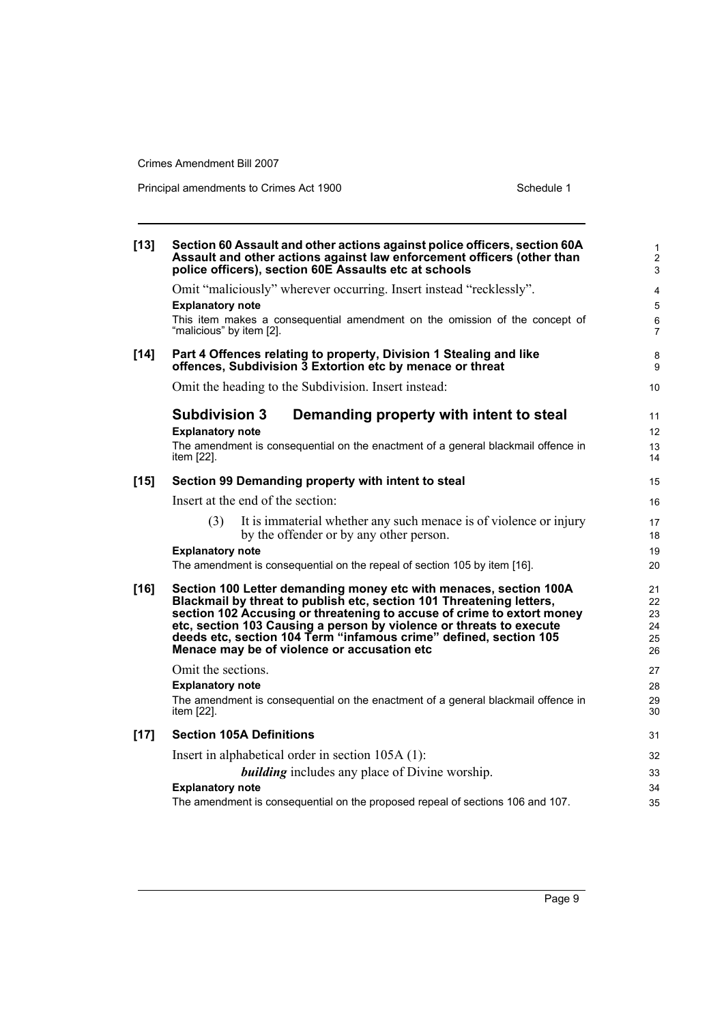| $[13]$ | Section 60 Assault and other actions against police officers, section 60A<br>Assault and other actions against law enforcement officers (other than<br>police officers), section 60E Assaults etc at schools | $\mathbf{1}$<br>$\overline{c}$<br>3 |
|--------|--------------------------------------------------------------------------------------------------------------------------------------------------------------------------------------------------------------|-------------------------------------|
|        | Omit "maliciously" wherever occurring. Insert instead "recklessly".                                                                                                                                          | $\overline{4}$                      |
|        | <b>Explanatory note</b>                                                                                                                                                                                      | $\sqrt{5}$                          |
|        | This item makes a consequential amendment on the omission of the concept of<br>"malicious" by item [2].                                                                                                      | $\,6\,$<br>$\overline{7}$           |
| $[14]$ | Part 4 Offences relating to property, Division 1 Stealing and like<br>offences, Subdivision 3 Extortion etc by menace or threat                                                                              | 8<br>9                              |
|        | Omit the heading to the Subdivision. Insert instead:                                                                                                                                                         | 10                                  |
|        | <b>Subdivision 3</b><br>Demanding property with intent to steal                                                                                                                                              | 11                                  |
|        | <b>Explanatory note</b>                                                                                                                                                                                      | 12                                  |
|        | The amendment is consequential on the enactment of a general blackmail offence in<br>item [22].                                                                                                              | 13<br>14                            |
| $[15]$ | Section 99 Demanding property with intent to steal                                                                                                                                                           | 15                                  |
|        | Insert at the end of the section:                                                                                                                                                                            | 16                                  |
|        | It is immaterial whether any such menace is of violence or injury<br>(3)                                                                                                                                     | 17                                  |
|        | by the offender or by any other person.                                                                                                                                                                      | 18                                  |
|        | <b>Explanatory note</b>                                                                                                                                                                                      | 19                                  |
|        | The amendment is consequential on the repeal of section 105 by item [16].                                                                                                                                    | 20                                  |
| $[16]$ | Section 100 Letter demanding money etc with menaces, section 100A                                                                                                                                            | 21                                  |
|        | Blackmail by threat to publish etc, section 101 Threatening letters,<br>section 102 Accusing or threatening to accuse of crime to extort money                                                               | 22<br>23                            |
|        | etc, section 103 Causing a person by violence or threats to execute                                                                                                                                          | 24                                  |
|        | deeds etc, section 104 Term "infamous crime" defined, section 105<br>Menace may be of violence or accusation etc                                                                                             | 25<br>26                            |
|        | Omit the sections.                                                                                                                                                                                           | 27                                  |
|        | <b>Explanatory note</b>                                                                                                                                                                                      | 28                                  |
|        | The amendment is consequential on the enactment of a general blackmail offence in<br>item [22].                                                                                                              | 29<br>30                            |
| $[17]$ | <b>Section 105A Definitions</b>                                                                                                                                                                              | 31                                  |
|        | Insert in alphabetical order in section 105A (1):                                                                                                                                                            | 32                                  |
|        | <b>building</b> includes any place of Divine worship.                                                                                                                                                        | 33                                  |
|        | <b>Explanatory note</b>                                                                                                                                                                                      | 34                                  |
|        | The amendment is consequential on the proposed repeal of sections 106 and 107.                                                                                                                               | 35                                  |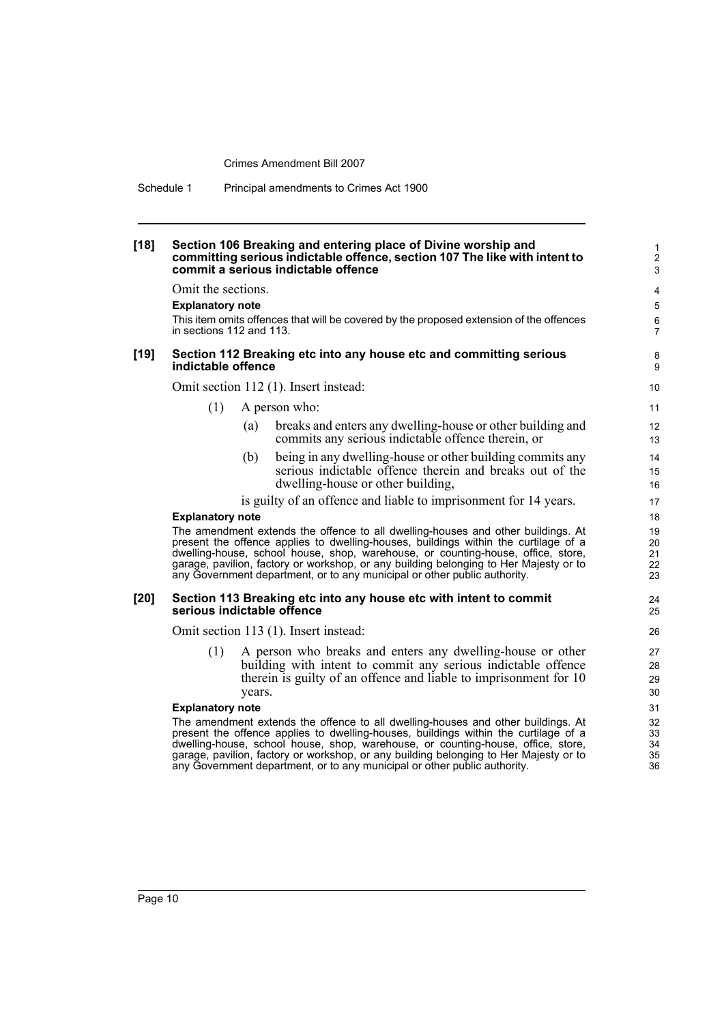Schedule 1 Principal amendments to Crimes Act 1900

| $[18]$ |                                                                                                                                                                                                                                                                                                                                                                                                                                   |        | Section 106 Breaking and entering place of Divine worship and<br>committing serious indictable offence, section 107 The like with intent to<br>commit a serious indictable offence                                                                                                                                                                                                                                                | 1<br>$\overline{2}$<br>$\mathsf 3$  |
|--------|-----------------------------------------------------------------------------------------------------------------------------------------------------------------------------------------------------------------------------------------------------------------------------------------------------------------------------------------------------------------------------------------------------------------------------------|--------|-----------------------------------------------------------------------------------------------------------------------------------------------------------------------------------------------------------------------------------------------------------------------------------------------------------------------------------------------------------------------------------------------------------------------------------|-------------------------------------|
|        | Omit the sections.<br><b>Explanatory note</b><br>in sections 112 and 113.                                                                                                                                                                                                                                                                                                                                                         |        | This item omits offences that will be covered by the proposed extension of the offences                                                                                                                                                                                                                                                                                                                                           | 4<br>5<br>$\,6\,$<br>$\overline{7}$ |
| $[19]$ | indictable offence                                                                                                                                                                                                                                                                                                                                                                                                                |        | Section 112 Breaking etc into any house etc and committing serious                                                                                                                                                                                                                                                                                                                                                                | 8<br>9                              |
|        |                                                                                                                                                                                                                                                                                                                                                                                                                                   |        | Omit section 112 (1). Insert instead:                                                                                                                                                                                                                                                                                                                                                                                             | 10                                  |
|        | (1)                                                                                                                                                                                                                                                                                                                                                                                                                               |        | A person who:                                                                                                                                                                                                                                                                                                                                                                                                                     | 11                                  |
|        |                                                                                                                                                                                                                                                                                                                                                                                                                                   | (a)    | breaks and enters any dwelling-house or other building and<br>commits any serious indictable offence therein, or                                                                                                                                                                                                                                                                                                                  | 12<br>13                            |
|        |                                                                                                                                                                                                                                                                                                                                                                                                                                   | (b)    | being in any dwelling-house or other building commits any<br>serious indictable offence therein and breaks out of the<br>dwelling-house or other building,                                                                                                                                                                                                                                                                        | 14<br>15<br>16                      |
|        |                                                                                                                                                                                                                                                                                                                                                                                                                                   |        | is guilty of an offence and liable to imprisonment for 14 years.                                                                                                                                                                                                                                                                                                                                                                  | 17                                  |
|        | <b>Explanatory note</b>                                                                                                                                                                                                                                                                                                                                                                                                           |        |                                                                                                                                                                                                                                                                                                                                                                                                                                   | 18                                  |
|        |                                                                                                                                                                                                                                                                                                                                                                                                                                   |        | The amendment extends the offence to all dwelling-houses and other buildings. At<br>present the offence applies to dwelling-houses, buildings within the curtilage of a<br>dwelling-house, school house, shop, warehouse, or counting-house, office, store,<br>garage, pavilion, factory or workshop, or any building belonging to Her Majesty or to<br>any Government department, or to any municipal or other public authority. | 19<br>20<br>21<br>22<br>23          |
| [20]   | serious indictable offence                                                                                                                                                                                                                                                                                                                                                                                                        |        | Section 113 Breaking etc into any house etc with intent to commit                                                                                                                                                                                                                                                                                                                                                                 | 24<br>25                            |
|        |                                                                                                                                                                                                                                                                                                                                                                                                                                   |        | Omit section 113 (1). Insert instead:                                                                                                                                                                                                                                                                                                                                                                                             | 26                                  |
|        | (1)                                                                                                                                                                                                                                                                                                                                                                                                                               | years. | A person who breaks and enters any dwelling-house or other<br>building with intent to commit any serious indictable offence<br>therein is guilty of an offence and liable to imprisonment for 10                                                                                                                                                                                                                                  | 27<br>28<br>29<br>30                |
|        | <b>Explanatory note</b>                                                                                                                                                                                                                                                                                                                                                                                                           |        |                                                                                                                                                                                                                                                                                                                                                                                                                                   | 31                                  |
|        | The amendment extends the offence to all dwelling-houses and other buildings. At<br>present the offence applies to dwelling-houses, buildings within the curtilage of a<br>dwelling-house, school house, shop, warehouse, or counting-house, office, store,<br>garage, pavilion, factory or workshop, or any building belonging to Her Majesty or to<br>any Government department, or to any municipal or other public authority. |        |                                                                                                                                                                                                                                                                                                                                                                                                                                   |                                     |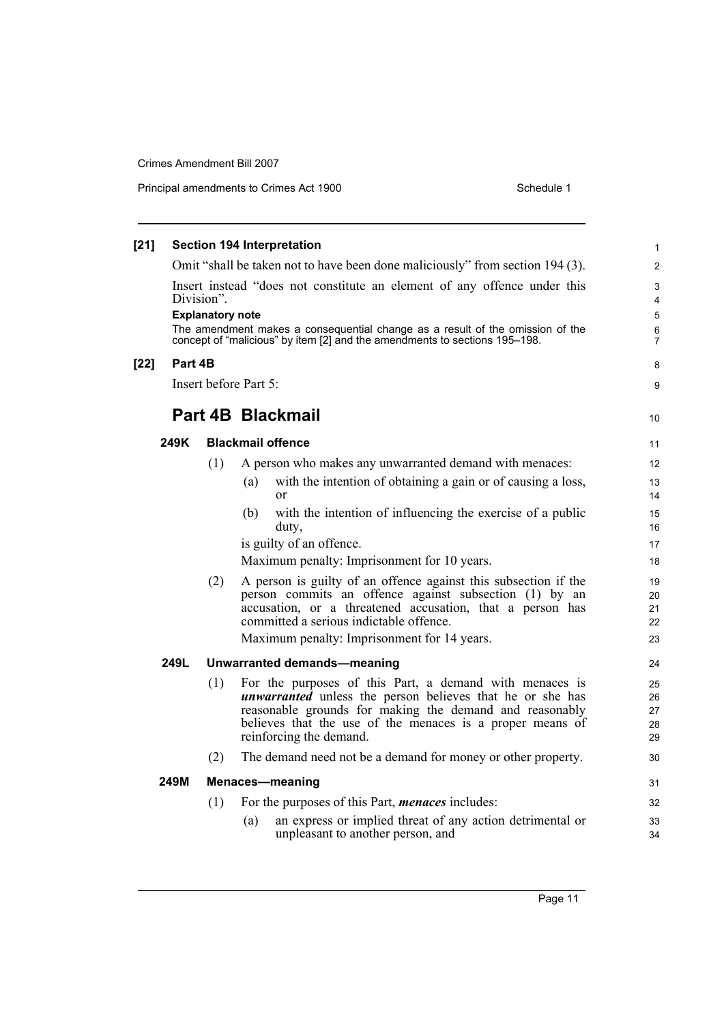| $[21]$ |                                                                                                                                                                                                                                                                                  |     | <b>Section 194 Interpretation</b>                                                                                                                                                                                                                                                | $\mathbf{1}$               |  |  |  |
|--------|----------------------------------------------------------------------------------------------------------------------------------------------------------------------------------------------------------------------------------------------------------------------------------|-----|----------------------------------------------------------------------------------------------------------------------------------------------------------------------------------------------------------------------------------------------------------------------------------|----------------------------|--|--|--|
|        |                                                                                                                                                                                                                                                                                  |     | Omit "shall be taken not to have been done maliciously" from section 194 (3).                                                                                                                                                                                                    | $\overline{2}$             |  |  |  |
|        | Insert instead "does not constitute an element of any offence under this<br>Division".<br><b>Explanatory note</b><br>The amendment makes a consequential change as a result of the omission of the<br>concept of "malicious" by item [2] and the amendments to sections 195-198. |     |                                                                                                                                                                                                                                                                                  |                            |  |  |  |
|        |                                                                                                                                                                                                                                                                                  |     |                                                                                                                                                                                                                                                                                  | $\overline{7}$             |  |  |  |
| $[22]$ | Part 4B                                                                                                                                                                                                                                                                          |     |                                                                                                                                                                                                                                                                                  | 8                          |  |  |  |
|        |                                                                                                                                                                                                                                                                                  |     | Insert before Part 5:                                                                                                                                                                                                                                                            | 9                          |  |  |  |
|        |                                                                                                                                                                                                                                                                                  |     | <b>Part 4B Blackmail</b>                                                                                                                                                                                                                                                         | 10                         |  |  |  |
|        | 249K                                                                                                                                                                                                                                                                             |     | <b>Blackmail offence</b>                                                                                                                                                                                                                                                         | 11                         |  |  |  |
|        |                                                                                                                                                                                                                                                                                  | (1) | A person who makes any unwarranted demand with menaces:                                                                                                                                                                                                                          | 12                         |  |  |  |
|        |                                                                                                                                                                                                                                                                                  |     | with the intention of obtaining a gain or of causing a loss,<br>(a)<br><sub>or</sub>                                                                                                                                                                                             | 13<br>14                   |  |  |  |
|        |                                                                                                                                                                                                                                                                                  |     | with the intention of influencing the exercise of a public<br>(b)<br>duty,                                                                                                                                                                                                       | 15<br>16                   |  |  |  |
|        |                                                                                                                                                                                                                                                                                  |     | is guilty of an offence.                                                                                                                                                                                                                                                         | 17                         |  |  |  |
|        |                                                                                                                                                                                                                                                                                  |     | Maximum penalty: Imprisonment for 10 years.                                                                                                                                                                                                                                      | 18                         |  |  |  |
|        |                                                                                                                                                                                                                                                                                  | (2) | A person is guilty of an offence against this subsection if the<br>person commits an offence against subsection (1) by an<br>accusation, or a threatened accusation, that a person has<br>committed a serious indictable offence.<br>Maximum penalty: Imprisonment for 14 years. | 19<br>20<br>21<br>22<br>23 |  |  |  |
|        | 249L                                                                                                                                                                                                                                                                             |     | Unwarranted demands-meaning                                                                                                                                                                                                                                                      | 24                         |  |  |  |
|        |                                                                                                                                                                                                                                                                                  | (1) | For the purposes of this Part, a demand with menaces is<br><i>unwarranted</i> unless the person believes that he or she has<br>reasonable grounds for making the demand and reasonably<br>believes that the use of the menaces is a proper means of<br>reinforcing the demand.   | 25<br>26<br>27<br>28<br>29 |  |  |  |
|        |                                                                                                                                                                                                                                                                                  | (2) | The demand need not be a demand for money or other property.                                                                                                                                                                                                                     | 30                         |  |  |  |
|        | 249M                                                                                                                                                                                                                                                                             |     | Menaces-meaning                                                                                                                                                                                                                                                                  | 31                         |  |  |  |
|        |                                                                                                                                                                                                                                                                                  | (1) | For the purposes of this Part, <i>menaces</i> includes:                                                                                                                                                                                                                          | 32                         |  |  |  |
|        |                                                                                                                                                                                                                                                                                  |     | an express or implied threat of any action detrimental or<br>(a)<br>unpleasant to another person, and                                                                                                                                                                            | 33<br>34                   |  |  |  |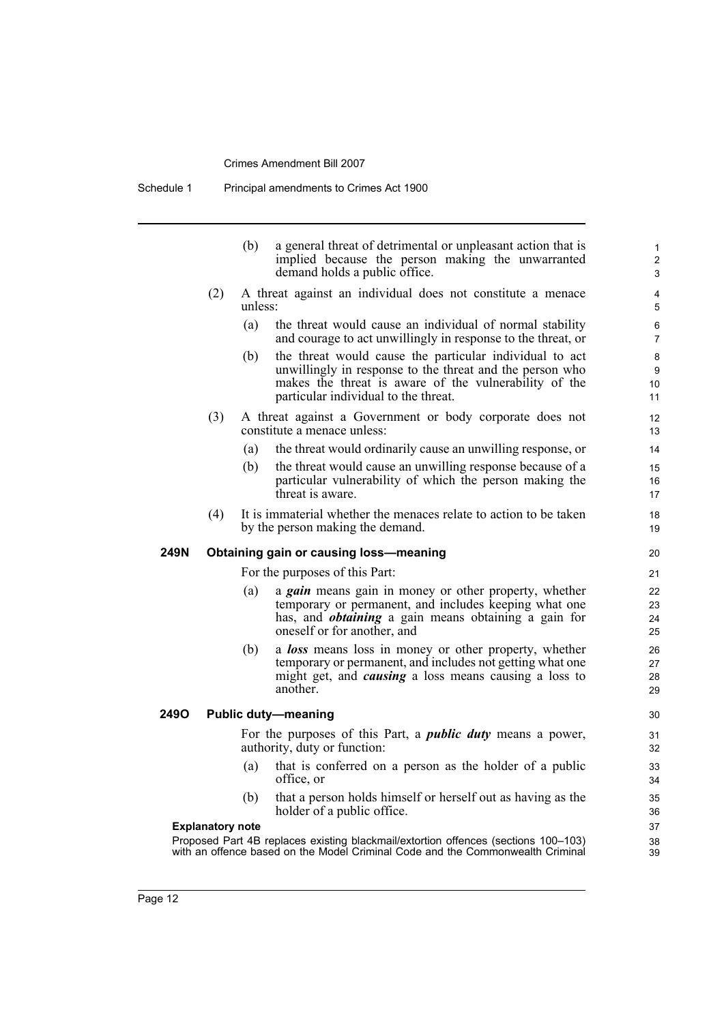|      |                         | (b)     | a general threat of detrimental or unpleasant action that is<br>implied because the person making the unwarranted<br>demand holds a public office.                                                                   | $\mathbf{1}$<br>$\overline{2}$<br>3 |
|------|-------------------------|---------|----------------------------------------------------------------------------------------------------------------------------------------------------------------------------------------------------------------------|-------------------------------------|
|      | (2)                     | unless: | A threat against an individual does not constitute a menace                                                                                                                                                          | 4<br>5                              |
|      |                         | (a)     | the threat would cause an individual of normal stability<br>and courage to act unwillingly in response to the threat, or                                                                                             | 6<br>$\overline{7}$                 |
|      |                         | (b)     | the threat would cause the particular individual to act<br>unwillingly in response to the threat and the person who<br>makes the threat is aware of the vulnerability of the<br>particular individual to the threat. | 8<br>9<br>10<br>11                  |
|      | (3)                     |         | A threat against a Government or body corporate does not<br>constitute a menace unless:                                                                                                                              | 12<br>13                            |
|      |                         | (a)     | the threat would ordinarily cause an unwilling response, or                                                                                                                                                          | 14                                  |
|      |                         | (b)     | the threat would cause an unwilling response because of a<br>particular vulnerability of which the person making the<br>threat is aware.                                                                             | 15<br>16<br>17                      |
|      | (4)                     |         | It is immaterial whether the menaces relate to action to be taken<br>by the person making the demand.                                                                                                                | 18<br>19                            |
| 249N |                         |         | Obtaining gain or causing loss-meaning                                                                                                                                                                               | 20                                  |
|      |                         |         | For the purposes of this Part:                                                                                                                                                                                       | 21                                  |
|      |                         | (a)     | a <i>gain</i> means gain in money or other property, whether<br>temporary or permanent, and includes keeping what one<br>has, and <i>obtaining</i> a gain means obtaining a gain for<br>oneself or for another, and  | 22<br>23<br>24<br>25                |
|      |                         | (b)     | a <b>loss</b> means loss in money or other property, whether<br>temporary or permanent, and includes not getting what one<br>might get, and <i>causing</i> a loss means causing a loss to<br>another.                | 26<br>27<br>28<br>29                |
| 2490 |                         |         | <b>Public duty-meaning</b>                                                                                                                                                                                           | 30                                  |
|      |                         |         | For the purposes of this Part, a <i>public duty</i> means a power,<br>authority, duty or function:                                                                                                                   | 31<br>32                            |
|      |                         | (a)     | that is conferred on a person as the holder of a public<br>office, or                                                                                                                                                | 33<br>34                            |
|      |                         | (b)     | that a person holds himself or herself out as having as the<br>holder of a public office.                                                                                                                            | 35<br>36                            |
|      | <b>Explanatory note</b> |         |                                                                                                                                                                                                                      | 37                                  |
|      |                         |         | Proposed Part 4B replaces existing blackmail/extortion offences (sections 100-103)<br>with an offence based on the Model Criminal Code and the Commonwealth Criminal                                                 | 38<br>39                            |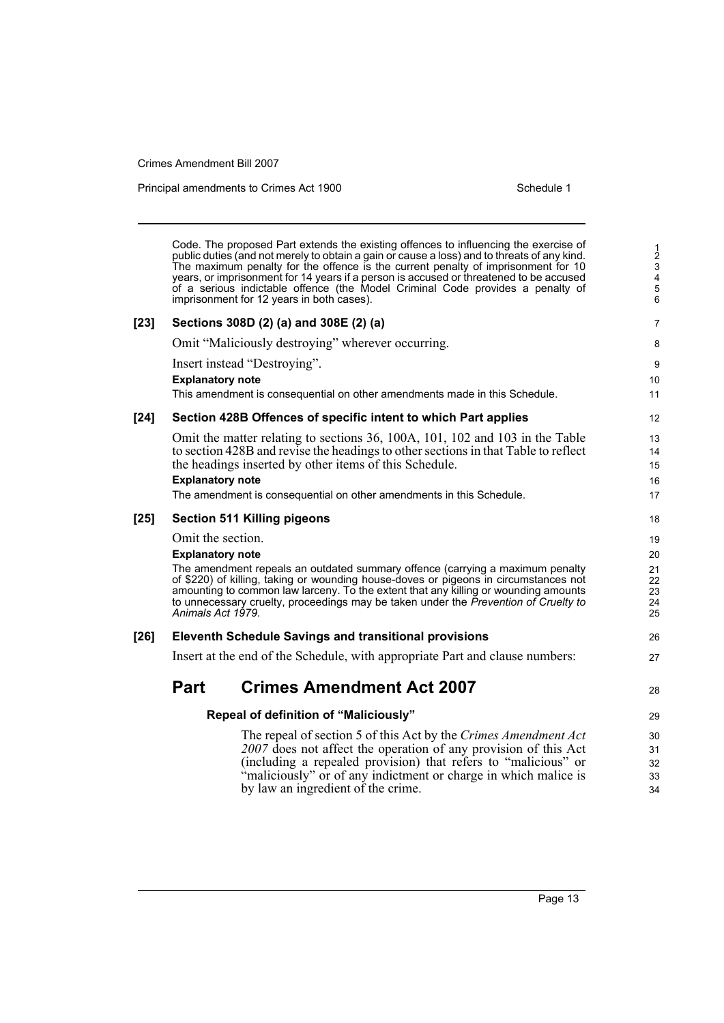Principal amendments to Crimes Act 1900 Schedule 1

Code. The proposed Part extends the existing offences to influencing the exercise of public duties (and not merely to obtain a gain or cause a loss) and to threats of any kind. The maximum penalty for the offence is the current penalty of imprisonment for 10 years, or imprisonment for 14 years if a person is accused or threatened to be accused of a serious indictable offence (the Model Criminal Code provides a penalty of imprisonment for 12 years in both cases). **[23] Sections 308D (2) (a) and 308E (2) (a)** Omit "Maliciously destroying" wherever occurring. Insert instead "Destroying". **Explanatory note** This amendment is consequential on other amendments made in this Schedule. **[24] Section 428B Offences of specific intent to which Part applies** Omit the matter relating to sections 36, 100A, 101, 102 and 103 in the Table to section 428B and revise the headings to other sections in that Table to reflect the headings inserted by other items of this Schedule. **Explanatory note** The amendment is consequential on other amendments in this Schedule. **[25] Section 511 Killing pigeons** Omit the section. **Explanatory note** The amendment repeals an outdated summary offence (carrying a maximum penalty of \$220) of killing, taking or wounding house-doves or pigeons in circumstances not amounting to common law larceny. To the extent that any killing or wounding amounts to unnecessary cruelty, proceedings may be taken under the *Prevention of Cruelty to Animals Act 1979*. **[26] Eleventh Schedule Savings and transitional provisions** Insert at the end of the Schedule, with appropriate Part and clause numbers: **Part Crimes Amendment Act 2007 Repeal of definition of "Maliciously"** The repeal of section 5 of this Act by the *Crimes Amendment Act 2007* does not affect the operation of any provision of this Act (including a repealed provision) that refers to "malicious" or "maliciously" or of any indictment or charge in which malice is by law an ingredient of the crime. 1 2 3  $\frac{6}{4}$ 5 6 7 8 9 10 11 12 13  $14$ 15 16 17 18 19 20 21 22 23 24 25 26 27 28 29 30 31 32 33 34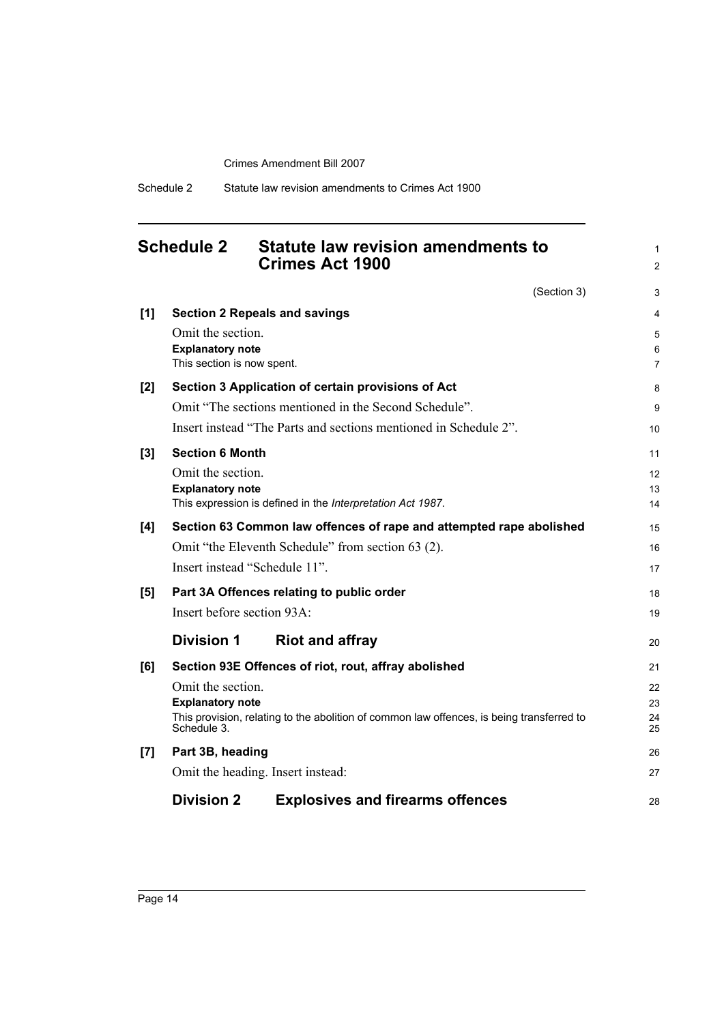## <span id="page-17-0"></span>**Schedule 2 Statute law revision amendments to Crimes Act 1900**

1 2

(Section 3) **[1] Section 2 Repeals and savings** Omit the section. **Explanatory note** This section is now spent. **[2] Section 3 Application of certain provisions of Act** Omit "The sections mentioned in the Second Schedule". Insert instead "The Parts and sections mentioned in Schedule 2". **[3] Section 6 Month** Omit the section. **Explanatory note** This expression is defined in the *Interpretation Act 1987*. **[4] Section 63 Common law offences of rape and attempted rape abolished** Omit "the Eleventh Schedule" from section 63 (2). Insert instead "Schedule 11". **[5] Part 3A Offences relating to public order** Insert before section 93A: **Division 1 Riot and affray [6] Section 93E Offences of riot, rout, affray abolished** Omit the section. **Explanatory note** This provision, relating to the abolition of common law offences, is being transferred to Schedule 3. **[7] Part 3B, heading** Omit the heading. Insert instead: **Division 2 Explosives and firearms offences** 3 4 5 6 7 8 9 10 11 12 13 14 15 16 17 18 19 20 21 22 23 24 25 26 27 28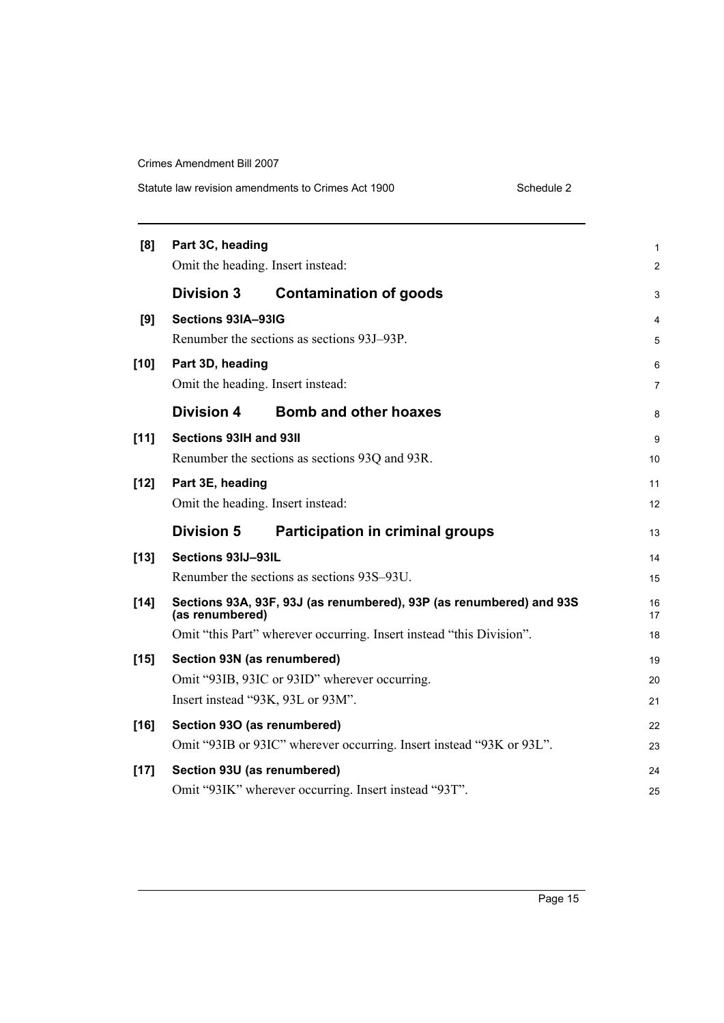Statute law revision amendments to Crimes Act 1900

|  | Schedule 2 |
|--|------------|

| [8]    | Part 3C, heading                           |                                                                      |                |  |  |
|--------|--------------------------------------------|----------------------------------------------------------------------|----------------|--|--|
|        | Omit the heading. Insert instead:          |                                                                      | $\overline{2}$ |  |  |
|        | <b>Division 3</b>                          | <b>Contamination of goods</b>                                        | 3              |  |  |
| [9]    | Sections 93IA-93IG                         |                                                                      | 4              |  |  |
|        |                                            | Renumber the sections as sections 93J-93P.                           | 5              |  |  |
| $[10]$ | Part 3D, heading                           |                                                                      | 6              |  |  |
|        | Omit the heading. Insert instead:          |                                                                      | $\overline{7}$ |  |  |
|        | <b>Division 4</b>                          | <b>Bomb and other hoaxes</b>                                         | 8              |  |  |
| $[11]$ | Sections 93IH and 93II                     |                                                                      | 9              |  |  |
|        |                                            | Renumber the sections as sections 93Q and 93R.                       | 10             |  |  |
| $[12]$ | Part 3E, heading                           |                                                                      | 11             |  |  |
|        | Omit the heading. Insert instead:          |                                                                      |                |  |  |
|        | <b>Division 5</b>                          | <b>Participation in criminal groups</b>                              | 13             |  |  |
| $[13]$ | Sections 93IJ-93IL                         |                                                                      | 14             |  |  |
|        | Renumber the sections as sections 93S-93U. |                                                                      |                |  |  |
| $[14]$ | (as renumbered)                            | Sections 93A, 93F, 93J (as renumbered), 93P (as renumbered) and 93S  | 16<br>17       |  |  |
|        |                                            | Omit "this Part" wherever occurring. Insert instead "this Division". | 18             |  |  |
| $[15]$ | Section 93N (as renumbered)                |                                                                      |                |  |  |
|        |                                            | Omit "93IB, 93IC or 93ID" wherever occurring.                        | 20             |  |  |
|        |                                            | Insert instead "93K, 93L or 93M".                                    | 21             |  |  |
| $[16]$ | Section 930 (as renumbered)                |                                                                      | 22             |  |  |
|        |                                            | Omit "93IB or 93IC" wherever occurring. Insert instead "93K or 93L". | 23             |  |  |
| $[17]$ | Section 93U (as renumbered)                |                                                                      | 24             |  |  |
|        |                                            | Omit "93IK" wherever occurring. Insert instead "93T".                | 25             |  |  |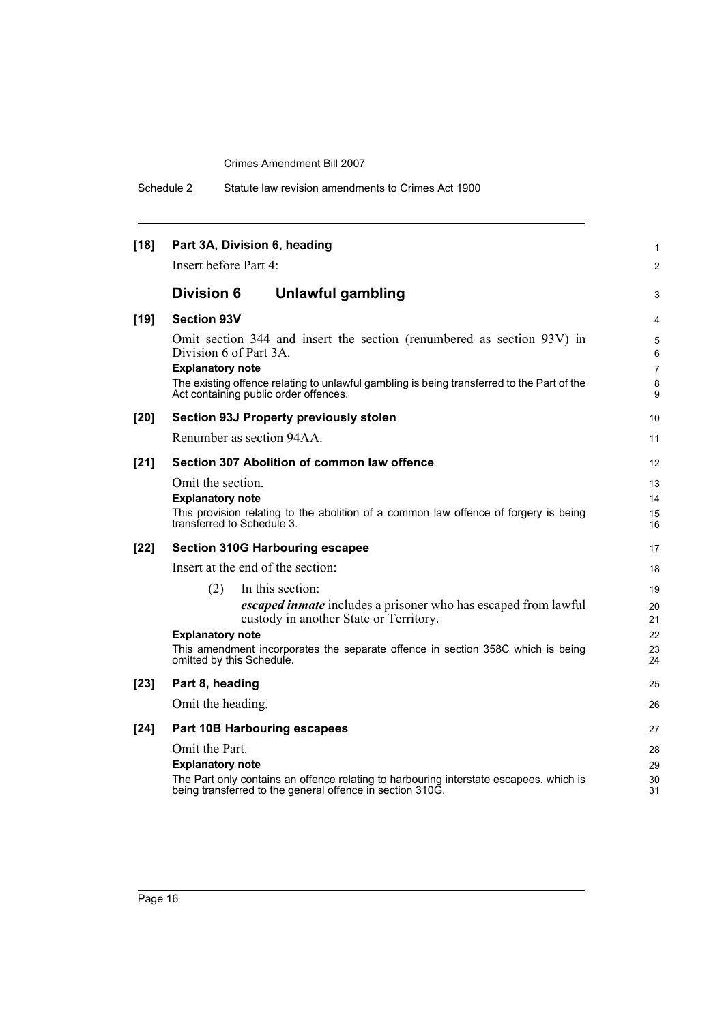| Schedule 2 | Statute law revision amendments to Crimes Act 1900 |  |
|------------|----------------------------------------------------|--|
|------------|----------------------------------------------------|--|

| $[18]$ | Part 3A, Division 6, heading<br>Insert before Part 4:                      |                                                                                                                                                                                                                        | 1                                |  |  |
|--------|----------------------------------------------------------------------------|------------------------------------------------------------------------------------------------------------------------------------------------------------------------------------------------------------------------|----------------------------------|--|--|
|        |                                                                            |                                                                                                                                                                                                                        | $\overline{2}$                   |  |  |
|        | <b>Division 6</b>                                                          | Unlawful gambling                                                                                                                                                                                                      | 3                                |  |  |
| $[19]$ | <b>Section 93V</b>                                                         |                                                                                                                                                                                                                        | 4                                |  |  |
|        | Division 6 of Part 3A.<br><b>Explanatory note</b>                          | Omit section 344 and insert the section (renumbered as section 93V) in<br>The existing offence relating to unlawful gambling is being transferred to the Part of the                                                   | 5<br>6<br>$\overline{7}$<br>8    |  |  |
|        |                                                                            | Act containing public order offences.                                                                                                                                                                                  | 9                                |  |  |
| $[20]$ |                                                                            | <b>Section 93J Property previously stolen</b>                                                                                                                                                                          | 10                               |  |  |
|        | Renumber as section 94AA.                                                  |                                                                                                                                                                                                                        | 11                               |  |  |
| $[21]$ | Section 307 Abolition of common law offence                                |                                                                                                                                                                                                                        |                                  |  |  |
|        | Omit the section.<br><b>Explanatory note</b><br>transferred to Schedule 3. | This provision relating to the abolition of a common law offence of forgery is being                                                                                                                                   | 13<br>14<br>15<br>16             |  |  |
| $[22]$ |                                                                            | <b>Section 310G Harbouring escapee</b>                                                                                                                                                                                 | 17                               |  |  |
|        | Insert at the end of the section:                                          |                                                                                                                                                                                                                        | 18                               |  |  |
|        | (2)<br><b>Explanatory note</b><br>omitted by this Schedule.                | In this section:<br><i>escaped inmate</i> includes a prisoner who has escaped from lawful<br>custody in another State or Territory.<br>This amendment incorporates the separate offence in section 358C which is being | 19<br>20<br>21<br>22<br>23<br>24 |  |  |
| $[23]$ | Part 8, heading                                                            |                                                                                                                                                                                                                        | 25                               |  |  |
|        | Omit the heading.                                                          |                                                                                                                                                                                                                        | 26                               |  |  |
| [24]   |                                                                            | Part 10B Harbouring escapees                                                                                                                                                                                           | 27                               |  |  |
|        | Omit the Part.<br><b>Explanatory note</b>                                  | The Part only contains an offence relating to harbouring interstate escapees, which is<br>being transferred to the general offence in section 310G.                                                                    | 28<br>29<br>30<br>31             |  |  |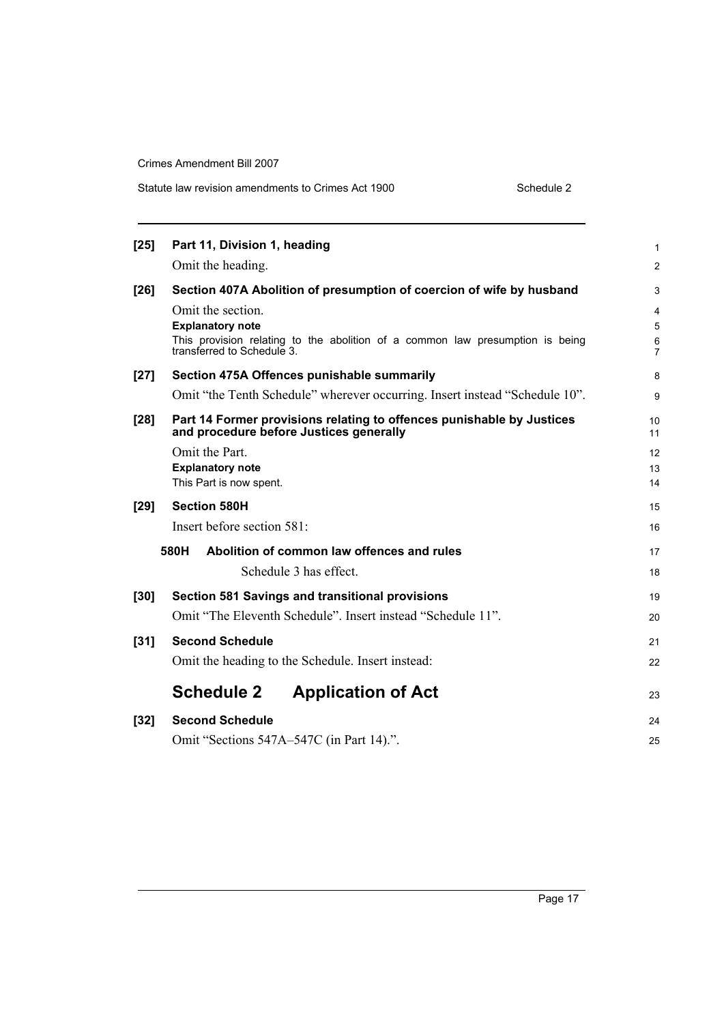| $[25]$ | Part 11, Division 1, heading                                                                                                  | 1              |  |  |  |  |
|--------|-------------------------------------------------------------------------------------------------------------------------------|----------------|--|--|--|--|
|        | Omit the heading.                                                                                                             | $\overline{c}$ |  |  |  |  |
| $[26]$ | Section 407A Abolition of presumption of coercion of wife by husband                                                          | 3              |  |  |  |  |
|        | Omit the section.<br><b>Explanatory note</b><br>This provision relating to the abolition of a common law presumption is being | 4<br>5<br>6    |  |  |  |  |
|        | transferred to Schedule 3.                                                                                                    | 7              |  |  |  |  |
| $[27]$ | Section 475A Offences punishable summarily                                                                                    | 8              |  |  |  |  |
|        | Omit "the Tenth Schedule" wherever occurring. Insert instead "Schedule 10".                                                   | 9              |  |  |  |  |
| $[28]$ | Part 14 Former provisions relating to offences punishable by Justices<br>and procedure before Justices generally              | 10<br>11       |  |  |  |  |
|        | Omit the Part.<br><b>Explanatory note</b><br>This Part is now spent.                                                          |                |  |  |  |  |
| $[29]$ | <b>Section 580H</b>                                                                                                           | 15             |  |  |  |  |
|        | Insert before section 581:                                                                                                    | 16             |  |  |  |  |
|        | 580H<br>Abolition of common law offences and rules                                                                            | 17             |  |  |  |  |
|        | Schedule 3 has effect                                                                                                         | 18             |  |  |  |  |
| $[30]$ | Section 581 Savings and transitional provisions                                                                               | 19             |  |  |  |  |
|        | Omit "The Eleventh Schedule". Insert instead "Schedule 11".                                                                   | 20             |  |  |  |  |
| $[31]$ | <b>Second Schedule</b>                                                                                                        | 21             |  |  |  |  |
|        | Omit the heading to the Schedule. Insert instead:                                                                             | 22             |  |  |  |  |
|        | <b>Schedule 2</b><br><b>Application of Act</b>                                                                                | 23             |  |  |  |  |
| $[32]$ | <b>Second Schedule</b>                                                                                                        | 24             |  |  |  |  |
|        | Omit "Sections 547A-547C (in Part 14).".                                                                                      | 25             |  |  |  |  |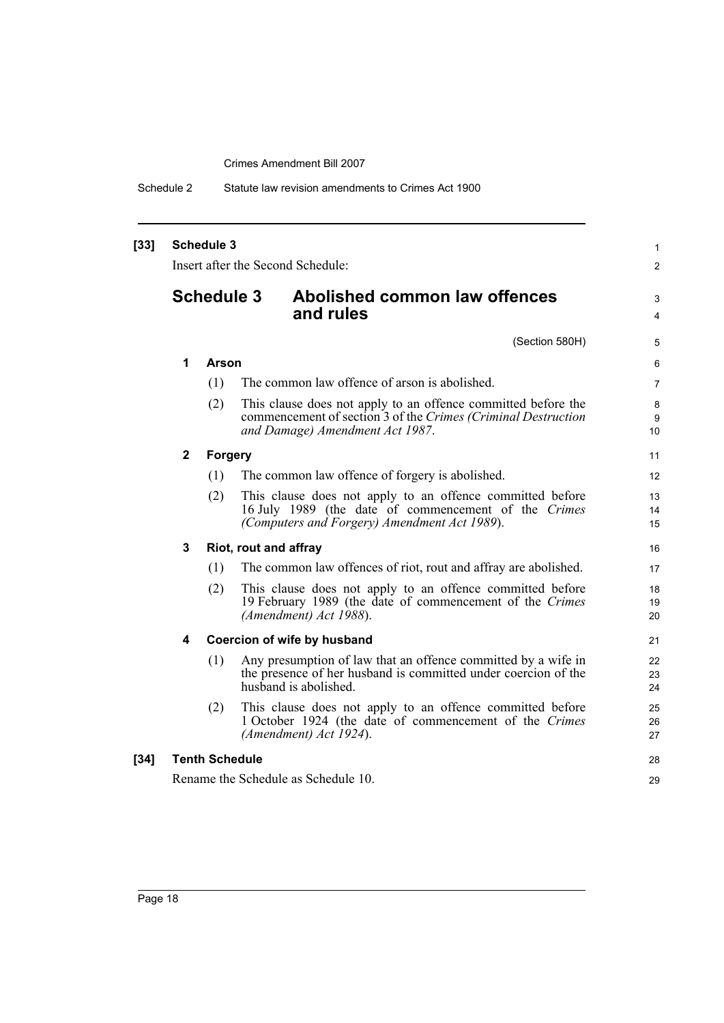Schedule 2 Statute law revision amendments to Crimes Act 1900

| $[33]$ | <b>Schedule 3</b><br>Insert after the Second Schedule: |                       |                       |                                                                                                                                                                   |                |
|--------|--------------------------------------------------------|-----------------------|-----------------------|-------------------------------------------------------------------------------------------------------------------------------------------------------------------|----------------|
|        | <b>Schedule 3</b>                                      |                       |                       | Abolished common law offences<br>and rules                                                                                                                        | 3<br>4         |
|        |                                                        |                       |                       | (Section 580H)                                                                                                                                                    | 5              |
|        | 1                                                      | <b>Arson</b>          |                       |                                                                                                                                                                   | 6              |
|        |                                                        | (1)                   |                       | The common law offence of arson is abolished.                                                                                                                     | 7              |
|        |                                                        | (2)                   |                       | This clause does not apply to an offence committed before the<br>commencement of section 3 of the Crimes (Criminal Destruction<br>and Damage) Amendment Act 1987. | 8<br>9<br>10   |
|        | $\mathbf{2}$                                           | <b>Forgery</b>        |                       |                                                                                                                                                                   | 11             |
|        |                                                        | (1)                   |                       | The common law offence of forgery is abolished.                                                                                                                   | 12             |
|        |                                                        | (2)                   |                       | This clause does not apply to an offence committed before<br>16 July 1989 (the date of commencement of the Crimes<br>(Computers and Forgery) Amendment Act 1989). | 13<br>14<br>15 |
|        | 3                                                      |                       | Riot, rout and affray |                                                                                                                                                                   | 16             |
|        |                                                        | (1)                   |                       | The common law offences of riot, rout and affray are abolished.                                                                                                   | 17             |
|        |                                                        | (2)                   |                       | This clause does not apply to an offence committed before<br>19 February 1989 (the date of commencement of the Crimes<br>(Amendment) Act 1988).                   | 18<br>19<br>20 |
|        | 4                                                      |                       |                       | Coercion of wife by husband                                                                                                                                       | 21             |
|        |                                                        | (1)                   |                       | Any presumption of law that an offence committed by a wife in<br>the presence of her husband is committed under coercion of the<br>husband is abolished.          | 22<br>23<br>24 |
|        |                                                        | (2)                   |                       | This clause does not apply to an offence committed before<br>1 October 1924 (the date of commencement of the Crimes<br>(Amendment) Act 1924).                     | 25<br>26<br>27 |
| $[34]$ |                                                        | <b>Tenth Schedule</b> |                       |                                                                                                                                                                   | 28             |
|        |                                                        |                       |                       | Rename the Schedule as Schedule 10.                                                                                                                               | 29             |
|        |                                                        |                       |                       |                                                                                                                                                                   |                |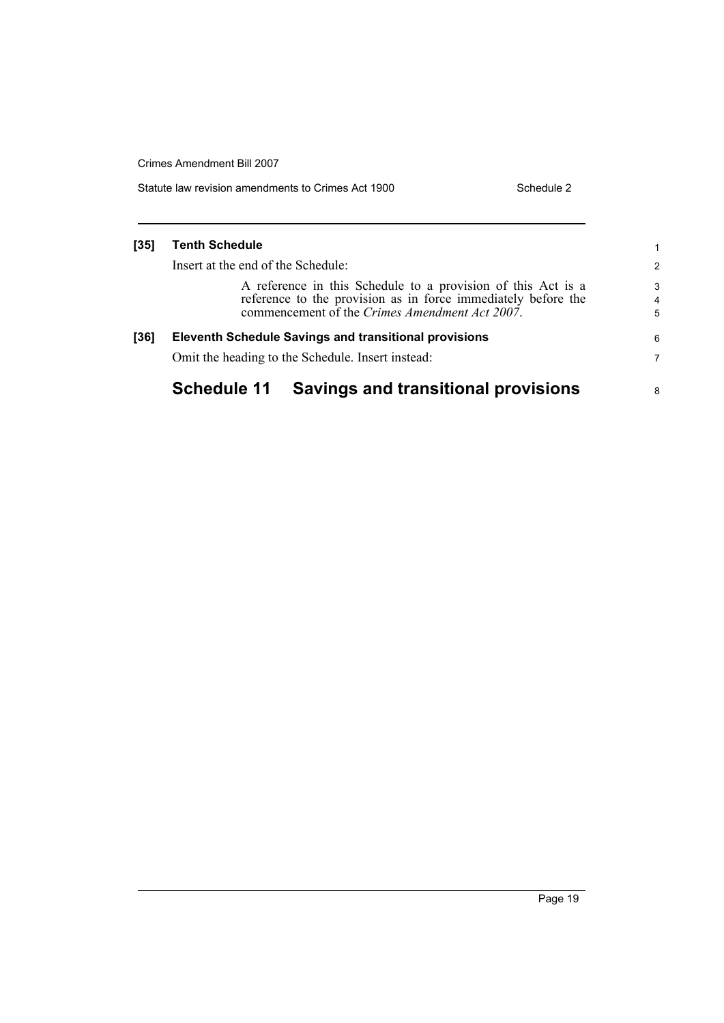| Statute law revision amendments to Crimes Act 1900 | Schedule 2 |
|----------------------------------------------------|------------|
|                                                    |            |

### **[35] Tenth Schedule**

Insert at the end of the Schedule:

A reference in this Schedule to a provision of this Act is a reference to the provision as in force immediately before the commencement of the *Crimes Amendment Act 2007*.

## **[36] Eleventh Schedule Savings and transitional provisions** Omit the heading to the Schedule. Insert instead:

## **Schedule 11 Savings and transitional provisions**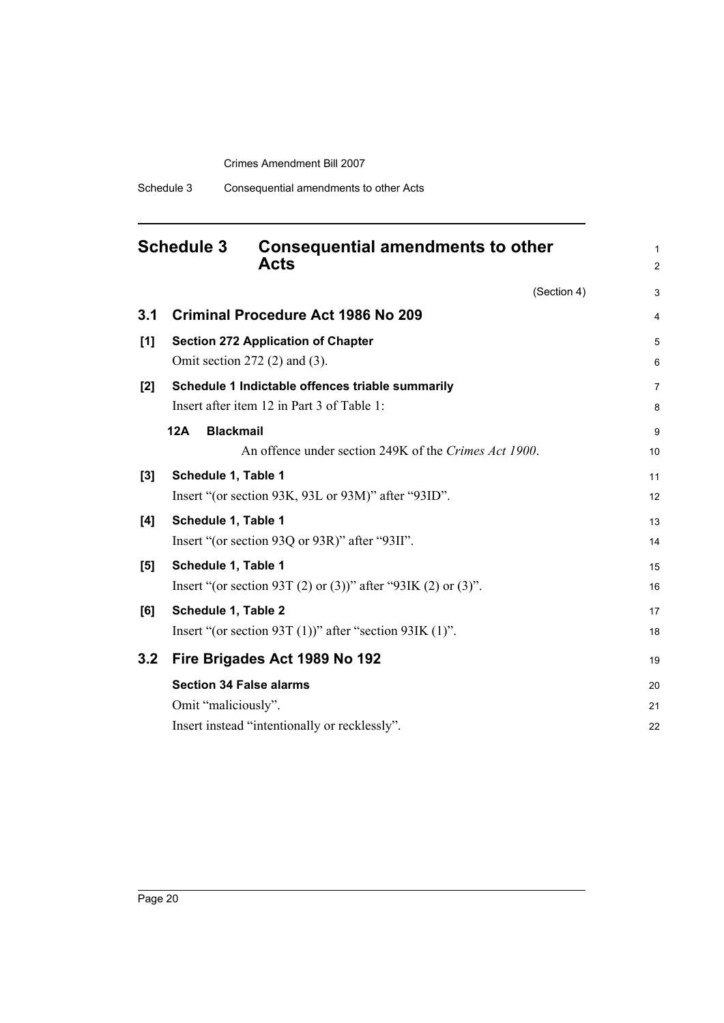## <span id="page-23-0"></span>**Schedule 3 Consequential amendments to other Acts**

(Section 4)

1 2

| 3.1   | <b>Criminal Procedure Act 1986 No 209</b>                     | $\overline{4}$ |
|-------|---------------------------------------------------------------|----------------|
| [1]   | <b>Section 272 Application of Chapter</b>                     | 5              |
|       | Omit section $272$ (2) and (3).                               | 6              |
| $[2]$ | Schedule 1 Indictable offences triable summarily              | $\overline{7}$ |
|       | Insert after item 12 in Part 3 of Table 1:                    | 8              |
|       | <b>Blackmail</b><br>12A                                       | 9              |
|       | An offence under section 249K of the Crimes Act 1900.         | 10             |
| [3]   | Schedule 1, Table 1                                           | 11             |
|       | Insert "(or section 93K, 93L or 93M)" after "93ID".           | 12             |
| [4]   | Schedule 1, Table 1                                           | 13             |
|       | Insert "(or section 93Q or 93R)" after "93II".                | 14             |
| [5]   | Schedule 1, Table 1                                           | 15             |
|       | Insert "(or section 93T (2) or (3))" after "93IK (2) or (3)". | 16             |
| [6]   | Schedule 1, Table 2                                           | 17             |
|       | Insert "(or section 93T $(1)$ )" after "section 93IK $(1)$ ". | 18             |
| 3.2   | Fire Brigades Act 1989 No 192                                 | 19             |
|       | <b>Section 34 False alarms</b>                                | 20             |
|       | Omit "maliciously".                                           | 21             |
|       | Insert instead "intentionally or recklessly".                 | 22             |